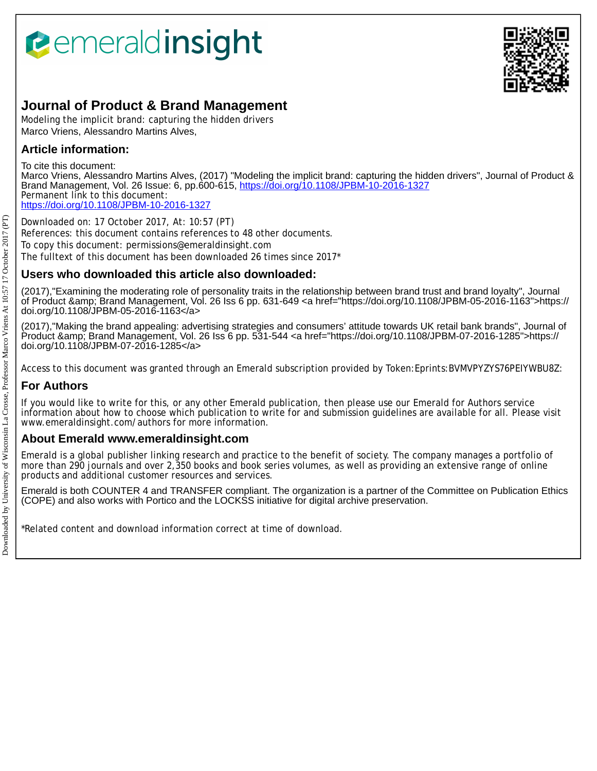# *<u><b>Pemeraldinsight</u>*



## **Journal of Product & Brand Management**

Modeling the implicit brand: capturing the hidden drivers Marco Vriens, Alessandro Martins Alves,

## **Article information:**

To cite this document:

Marco Vriens, Alessandro Martins Alves, (2017) "Modeling the implicit brand: capturing the hidden drivers", Journal of Product & Brand Management, Vol. 26 Issue: 6, pp.600-615, <https://doi.org/10.1108/JPBM-10-2016-1327> Permanent link to this document: <https://doi.org/10.1108/JPBM-10-2016-1327>

Downloaded on: 17 October 2017, At: 10:57 (PT) References: this document contains references to 48 other documents. To copy this document: permissions@emeraldinsight.com The fulltext of this document has been downloaded 26 times since 2017\*

## **Users who downloaded this article also downloaded:**

(2017),"Examining the moderating role of personality traits in the relationship between brand trust and brand loyalty", Journal of Product &amp; Brand Management, Vol. 26 Iss 6 pp. 631-649 <a href="https://doi.org/10.1108/JPBM-05-2016-1163">https:// doi.org/10.1108/JPBM-05-2016-1163</a>

(2017),"Making the brand appealing: advertising strategies and consumers' attitude towards UK retail bank brands", Journal of Product &amp; Brand Management, Vol. 26 Iss 6 pp. 531-544 <a href="https://doi.org/10.1108/JPBM-07-2016-1285">https:// doi.org/10.1108/JPBM-07-2016-1285</a>

Access to this document was granted through an Emerald subscription provided by Token:Eprints:BVMVPYZYS76PEIYWBU8Z:

## **For Authors**

If you would like to write for this, or any other Emerald publication, then please use our Emerald for Authors service information about how to choose which publication to write for and submission guidelines are available for all. Please visit www.emeraldinsight.com/authors for more information.

### **About Emerald www.emeraldinsight.com**

Emerald is a global publisher linking research and practice to the benefit of society. The company manages a portfolio of more than 290 journals and over 2,350 books and book series volumes, as well as providing an extensive range of online products and additional customer resources and services.

Emerald is both COUNTER 4 and TRANSFER compliant. The organization is a partner of the Committee on Publication Ethics (COPE) and also works with Portico and the LOCKSS initiative for digital archive preservation.

\*Related content and download information correct at time of download.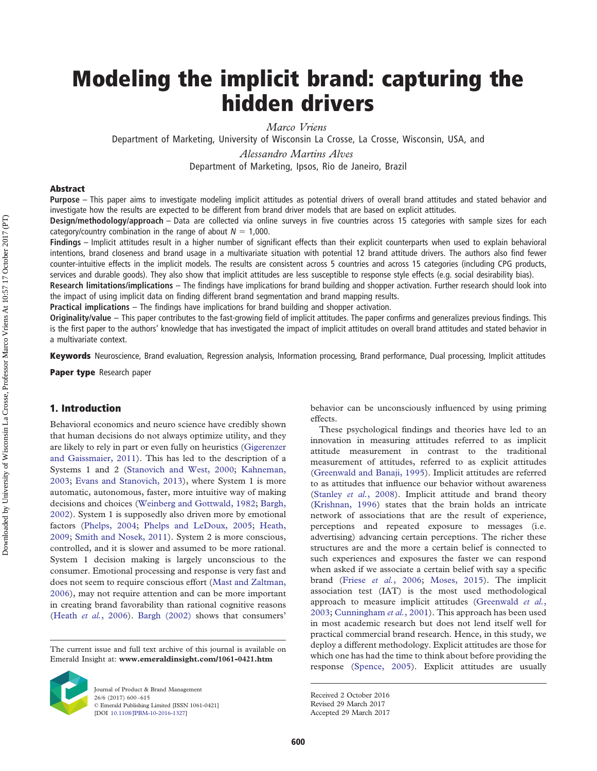## **Modeling the implicit brand: capturing the hidden drivers**

*Marco Vriens*

Department of Marketing, University of Wisconsin La Crosse, La Crosse, Wisconsin, USA, and

*Alessandro Martins Alves*

Department of Marketing, Ipsos, Rio de Janeiro, Brazil

#### **Abstract**

**Purpose** – This paper aims to investigate modeling implicit attitudes as potential drivers of overall brand attitudes and stated behavior and investigate how the results are expected to be different from brand driver models that are based on explicit attitudes.

**Design/methodology/approach** – Data are collected via online surveys in five countries across 15 categories with sample sizes for each category/country combination in the range of about  $N = 1,000$ .

**Findings** – Implicit attitudes result in a higher number of significant effects than their explicit counterparts when used to explain behavioral intentions, brand closeness and brand usage in a multivariate situation with potential 12 brand attitude drivers. The authors also find fewer counter-intuitive effects in the implicit models. The results are consistent across 5 countries and across 15 categories (including CPG products,

services and durable goods). They also show that implicit attitudes are less susceptible to response style effects (e.g. social desirability bias).

**Research limitations/implications** – The findings have implications for brand building and shopper activation. Further research should look into the impact of using implicit data on finding different brand segmentation and brand mapping results.

**Practical implications** – The findings have implications for brand building and shopper activation.

**Originality/value** – This paper contributes to the fast-growing field of implicit attitudes. The paper confirms and generalizes previous findings. This is the first paper to the authors' knowledge that has investigated the impact of implicit attitudes on overall brand attitudes and stated behavior in a multivariate context.

**Keywords** Neuroscience, Brand evaluation, Regression analysis, Information processing, Brand performance, Dual processing, Implicit attitudes

**Paper type** Research paper

#### **1. Introduction**

Behavioral economics and neuro science have credibly shown that human decisions do not always optimize utility, and they are likely to rely in part or even fully on heuristics [\(Gigerenzer](#page-15-0) [and Gaissmaier, 2011\)](#page-15-0). This has led to the description of a Systems 1 and 2 [\(Stanovich and West, 2000;](#page-16-0) [Kahneman,](#page-15-1) [2003;](#page-15-1) [Evans and Stanovich, 2013\)](#page-15-2), where System 1 is more automatic, autonomous, faster, more intuitive way of making decisions and choices [\(Weinberg and Gottwald, 1982;](#page-16-1) [Bargh,](#page-14-0) [2002\)](#page-14-0). System 1 is supposedly also driven more by emotional factors [\(Phelps, 2004;](#page-15-3) [Phelps and LeDoux, 2005;](#page-15-4) [Heath,](#page-15-5) [2009;](#page-15-5) [Smith and Nosek, 2011\)](#page-16-2). System 2 is more conscious, controlled, and it is slower and assumed to be more rational. System 1 decision making is largely unconscious to the consumer. Emotional processing and response is very fast and does not seem to require conscious effort [\(Mast and Zaltman,](#page-15-6) [2006\)](#page-15-6), may not require attention and can be more important in creating brand favorability than rational cognitive reasons (Heath *et al.*[, 2006\)](#page-15-7). [Bargh \(2002\)](#page-14-0) shows that consumers'

The current issue and full text archive of this journal is available on Emerald Insight at: **www.emeraldinsight.com/1061-0421.htm**



Journal of Product & Brand Management 26/6 (2017) 600–615 © Emerald Publishing Limited [ISSN 1061-0421] [DOI [10.1108/JPBM-10-2016-1327\]](http://dx.doi.org/10.1108/JPBM-10-2016-1327)

behavior can be unconsciously influenced by using priming effects.

These psychological findings and theories have led to an innovation in measuring attitudes referred to as implicit attitude measurement in contrast to the traditional measurement of attitudes, referred to as explicit attitudes [\(Greenwald and Banaji, 1995\)](#page-15-8). Implicit attitudes are referred to as attitudes that influence our behavior without awareness [\(Stanley](#page-16-3) *et al.*, 2008). Implicit attitude and brand theory [\(Krishnan, 1996\)](#page-15-9) states that the brain holds an intricate network of associations that are the result of experience, perceptions and repeated exposure to messages (i.e. advertising) advancing certain perceptions. The richer these structures are and the more a certain belief is connected to such experiences and exposures the faster we can respond when asked if we associate a certain belief with say a specific brand (Friese *et al.*[, 2006;](#page-15-10) [Moses, 2015\)](#page-15-11). The implicit association test (IAT) is the most used methodological approach to measure implicit attitudes [\(Greenwald](#page-15-12) *et al.*, [2003;](#page-15-12) [Cunningham](#page-14-1) *et al.*, 2001). This approach has been used in most academic research but does not lend itself well for practical commercial brand research. Hence, in this study, we deploy a different methodology. Explicit attitudes are those for which one has had the time to think about before providing the response [\(Spence, 2005\)](#page-16-4). Explicit attitudes are usually

Received 2 October 2016 Revised 29 March 2017

Accepted 29 March 2017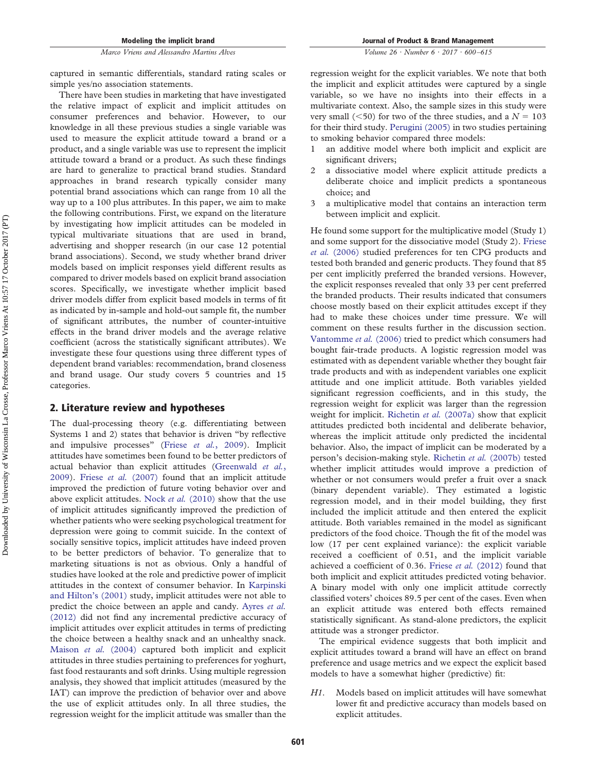*Volume 26 · Number 6 · 2017 · 600–615*

captured in semantic differentials, standard rating scales or simple yes/no association statements.

There have been studies in marketing that have investigated the relative impact of explicit and implicit attitudes on consumer preferences and behavior. However, to our knowledge in all these previous studies a single variable was used to measure the explicit attitude toward a brand or a product, and a single variable was use to represent the implicit attitude toward a brand or a product. As such these findings are hard to generalize to practical brand studies. Standard approaches in brand research typically consider many potential brand associations which can range from 10 all the way up to a 100 plus attributes. In this paper, we aim to make the following contributions. First, we expand on the literature by investigating how implicit attitudes can be modeled in typical multivariate situations that are used in brand, advertising and shopper research (in our case 12 potential brand associations). Second, we study whether brand driver models based on implicit responses yield different results as compared to driver models based on explicit brand association scores. Specifically, we investigate whether implicit based driver models differ from explicit based models in terms of fit as indicated by in-sample and hold-out sample fit, the number of significant attributes, the number of counter-intuitive effects in the brand driver models and the average relative coefficient (across the statistically significant attributes). We investigate these four questions using three different types of dependent brand variables: recommendation, brand closeness and brand usage. Our study covers 5 countries and 15 categories.

#### **2. Literature review and hypotheses**

The dual-processing theory (e.g. differentiating between Systems 1 and 2) states that behavior is driven "by reflective and impulsive processes" (Friese *et al.*[, 2009\)](#page-15-13). Implicit attitudes have sometimes been found to be better predictors of actual behavior than explicit attitudes [\(Greenwald](#page-15-14) *et al.*, [2009\)](#page-15-14). Friese *et al.* [\(2007\)](#page-15-15) found that an implicit attitude improved the prediction of future voting behavior over and above explicit attitudes. Nock *et al.* [\(2010\)](#page-15-16) show that the use of implicit attitudes significantly improved the prediction of whether patients who were seeking psychological treatment for depression were going to commit suicide. In the context of socially sensitive topics, implicit attitudes have indeed proven to be better predictors of behavior. To generalize that to marketing situations is not as obvious. Only a handful of studies have looked at the role and predictive power of implicit attitudes in the context of consumer behavior. In [Karpinski](#page-15-17) [and Hilton's \(2001\)](#page-15-17) study, implicit attitudes were not able to predict the choice between an apple and candy. [Ayres](#page-14-2) *et al.* [\(2012\)](#page-14-2) did not find any incremental predictive accuracy of implicit attitudes over explicit attitudes in terms of predicting the choice between a healthy snack and an unhealthy snack. [Maison](#page-15-18) *et al.* (2004) captured both implicit and explicit attitudes in three studies pertaining to preferences for yoghurt, fast food restaurants and soft drinks. Using multiple regression analysis, they showed that implicit attitudes (measured by the IAT) can improve the prediction of behavior over and above the use of explicit attitudes only. In all three studies, the regression weight for the implicit attitude was smaller than the

regression weight for the explicit variables. We note that both the implicit and explicit attitudes were captured by a single variable, so we have no insights into their effects in a multivariate context. Also, the sample sizes in this study were very small ( $\leq 50$ ) for two of the three studies, and a  $N = 103$ for their third study. [Perugini \(2005\)](#page-15-19) in two studies pertaining to smoking behavior compared three models:

- an additive model where both implicit and explicit are significant drivers;
- 2 a dissociative model where explicit attitude predicts a deliberate choice and implicit predicts a spontaneous choice; and
- 3 a multiplicative model that contains an interaction term between implicit and explicit.

He found some support for the multiplicative model (Study 1) and some support for the dissociative model (Study 2). [Friese](#page-15-10) *et al.* [\(2006\)](#page-15-10) studied preferences for ten CPG products and tested both branded and generic products. They found that 85 per cent implicitly preferred the branded versions. However, the explicit responses revealed that only 33 per cent preferred the branded products. Their results indicated that consumers choose mostly based on their explicit attitudes except if they had to make these choices under time pressure. We will comment on these results further in the discussion section. [Vantomme](#page-16-5) *et al.* (2006) tried to predict which consumers had bought fair-trade products. A logistic regression model was estimated with as dependent variable whether they bought fair trade products and with as independent variables one explicit attitude and one implicit attitude. Both variables yielded significant regression coefficients, and in this study, the regression weight for explicit was larger than the regression weight for implicit. [Richetin](#page-15-20) *et al.* (2007a) show that explicit attitudes predicted both incidental and deliberate behavior, whereas the implicit attitude only predicted the incidental behavior. Also, the impact of implicit can be moderated by a person's decision-making style. [Richetin](#page-15-21) *et al.* (2007b) tested whether implicit attitudes would improve a prediction of whether or not consumers would prefer a fruit over a snack (binary dependent variable). They estimated a logistic regression model, and in their model building, they first included the implicit attitude and then entered the explicit attitude. Both variables remained in the model as significant predictors of the food choice. Though the fit of the model was low (17 per cent explained variance): the explicit variable received a coefficient of 0.51, and the implicit variable achieved a coefficient of 0.36. Friese *et al.* [\(2012\)](#page-15-22) found that both implicit and explicit attitudes predicted voting behavior. A binary model with only one implicit attitude correctly classified voters' choices 89.5 per cent of the cases. Even when an explicit attitude was entered both effects remained statistically significant. As stand-alone predictors, the explicit attitude was a stronger predictor.

The empirical evidence suggests that both implicit and explicit attitudes toward a brand will have an effect on brand preference and usage metrics and we expect the explicit based models to have a somewhat higher (predictive) fit:

*H1*. Models based on implicit attitudes will have somewhat lower fit and predictive accuracy than models based on explicit attitudes.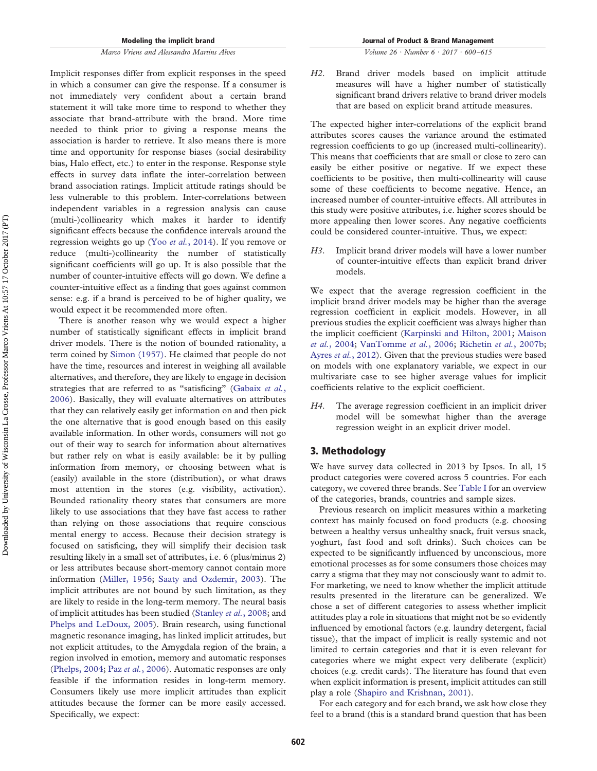Implicit responses differ from explicit responses in the speed in which a consumer can give the response. If a consumer is not immediately very confident about a certain brand statement it will take more time to respond to whether they associate that brand-attribute with the brand. More time needed to think prior to giving a response means the association is harder to retrieve. It also means there is more time and opportunity for response biases (social desirability bias, Halo effect, etc.) to enter in the response. Response style effects in survey data inflate the inter-correlation between brand association ratings. Implicit attitude ratings should be less vulnerable to this problem. Inter-correlations between independent variables in a regression analysis can cause (multi-)collinearity which makes it harder to identify significant effects because the confidence intervals around the regression weights go up (Yoo *et al.*[, 2014\)](#page-16-6). If you remove or reduce (multi-)collinearity the number of statistically significant coefficients will go up. It is also possible that the number of counter-intuitive effects will go down. We define a counter-intuitive effect as a finding that goes against common sense: e.g. if a brand is perceived to be of higher quality, we would expect it be recommended more often.

There is another reason why we would expect a higher number of statistically significant effects in implicit brand driver models. There is the notion of bounded rationality, a term coined by [Simon \(1957\).](#page-16-7) He claimed that people do not have the time, resources and interest in weighing all available alternatives, and therefore, they are likely to engage in decision strategies that are referred to as "satisficing" [\(Gabaix](#page-15-23) *et al.*, [2006\)](#page-15-23). Basically, they will evaluate alternatives on attributes that they can relatively easily get information on and then pick the one alternative that is good enough based on this easily available information. In other words, consumers will not go out of their way to search for information about alternatives but rather rely on what is easily available: be it by pulling information from memory, or choosing between what is (easily) available in the store (distribution), or what draws most attention in the stores (e.g. visibility, activation). Bounded rationality theory states that consumers are more likely to use associations that they have fast access to rather than relying on those associations that require conscious mental energy to access. Because their decision strategy is focused on satisficing, they will simplify their decision task resulting likely in a small set of attributes, i.e. 6 (plus/minus 2) or less attributes because short-memory cannot contain more information [\(Miller, 1956;](#page-15-24) [Saaty and Ozdemir, 2003\)](#page-16-8). The implicit attributes are not bound by such limitation, as they are likely to reside in the long-term memory. The neural basis of implicit attitudes has been studied [\(Stanley](#page-16-3) *et al.*, 2008; and [Phelps and LeDoux, 2005\)](#page-15-4). Brain research, using functional magnetic resonance imaging, has linked implicit attitudes, but not explicit attitudes, to the Amygdala region of the brain, a region involved in emotion, memory and automatic responses [\(Phelps, 2004;](#page-15-3) Paz *et al.*[, 2006\)](#page-15-25). Automatic responses are only feasible if the information resides in long-term memory. Consumers likely use more implicit attitudes than explicit attitudes because the former can be more easily accessed. Specifically, we expect:

*Volume 26 · Number 6 · 2017 · 600–615*

*H2*. Brand driver models based on implicit attitude measures will have a higher number of statistically significant brand drivers relative to brand driver models that are based on explicit brand attitude measures.

The expected higher inter-correlations of the explicit brand attributes scores causes the variance around the estimated regression coefficients to go up (increased multi-collinearity). This means that coefficients that are small or close to zero can easily be either positive or negative. If we expect these coefficients to be positive, then multi-collinearity will cause some of these coefficients to become negative. Hence, an increased number of counter-intuitive effects. All attributes in this study were positive attributes, i.e. higher scores should be more appealing then lower scores. Any negative coefficients could be considered counter-intuitive. Thus, we expect:

*H3*. Implicit brand driver models will have a lower number of counter-intuitive effects than explicit brand driver models.

We expect that the average regression coefficient in the implicit brand driver models may be higher than the average regression coefficient in explicit models. However, in all previous studies the explicit coefficient was always higher than the implicit coefficient [\(Karpinski and Hilton, 2001;](#page-15-17) [Maison](#page-15-18) *et al.*[, 2004;](#page-15-18) [VanTomme](#page-16-5) *et al.*, 2006; [Richetin](#page-15-21) *et al.*, 2007b; Ayres *et al.*[, 2012\)](#page-14-2). Given that the previous studies were based on models with one explanatory variable, we expect in our multivariate case to see higher average values for implicit coefficients relative to the explicit coefficient.

*H4*. The average regression coefficient in an implicit driver model will be somewhat higher than the average regression weight in an explicit driver model.

#### **3. Methodology**

We have survey data collected in 2013 by Ipsos. In all, 15 product categories were covered across 5 countries. For each category, we covered three brands. See [Table I](#page-4-0) for an overview of the categories, brands, countries and sample sizes.

Previous research on implicit measures within a marketing context has mainly focused on food products (e.g. choosing between a healthy versus unhealthy snack, fruit versus snack, yoghurt, fast food and soft drinks). Such choices can be expected to be significantly influenced by unconscious, more emotional processes as for some consumers those choices may carry a stigma that they may not consciously want to admit to. For marketing, we need to know whether the implicit attitude results presented in the literature can be generalized. We chose a set of different categories to assess whether implicit attitudes play a role in situations that might not be so evidently influenced by emotional factors (e.g. laundry detergent, facial tissue), that the impact of implicit is really systemic and not limited to certain categories and that it is even relevant for categories where we might expect very deliberate (explicit) choices (e.g. credit cards). The literature has found that even when explicit information is present, implicit attitudes can still play a role [\(Shapiro and Krishnan, 2001\)](#page-16-9).

For each category and for each brand, we ask how close they feel to a brand (this is a standard brand question that has been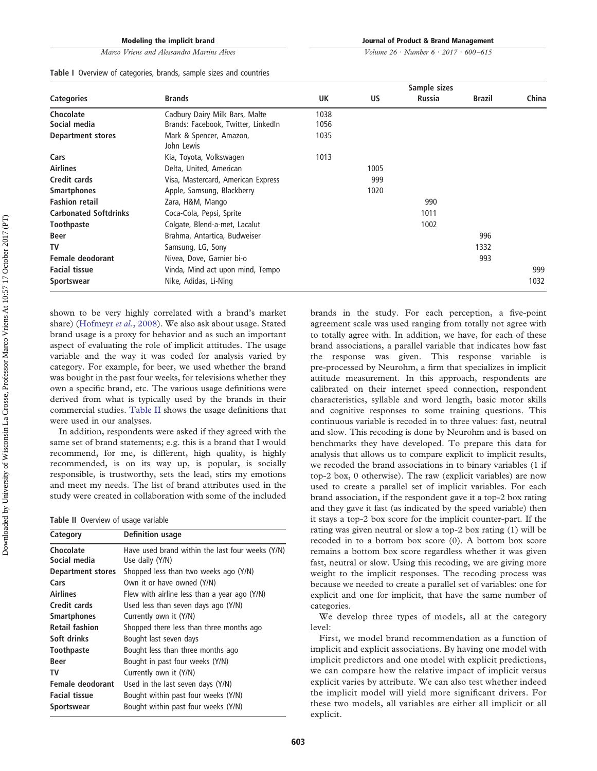#### *Marco Vriens and Alessandro Martins Alves*

**Journal of Product & Brand Management**

*Volume 26 · Number 6 · 2017 · 600–615*

<span id="page-4-0"></span>

|  |  |  | Table I Overview of categories, brands, sample sizes and countries |  |  |  |  |  |  |
|--|--|--|--------------------------------------------------------------------|--|--|--|--|--|--|
|--|--|--|--------------------------------------------------------------------|--|--|--|--|--|--|

|                              |                                       |      |      | Sample sizes  |               |       |
|------------------------------|---------------------------------------|------|------|---------------|---------------|-------|
| <b>Categories</b>            | <b>Brands</b>                         | UK   | US   | <b>Russia</b> | <b>Brazil</b> | China |
| Chocolate                    | Cadbury Dairy Milk Bars, Malte        | 1038 |      |               |               |       |
| Social media                 | Brands: Facebook, Twitter, LinkedIn   | 1056 |      |               |               |       |
| <b>Department stores</b>     | Mark & Spencer, Amazon,<br>John Lewis | 1035 |      |               |               |       |
| Cars                         | Kia, Toyota, Volkswagen               | 1013 |      |               |               |       |
| <b>Airlines</b>              | Delta, United, American               |      | 1005 |               |               |       |
| Credit cards                 | Visa, Mastercard, American Express    |      | 999  |               |               |       |
| <b>Smartphones</b>           | Apple, Samsung, Blackberry            |      | 1020 |               |               |       |
| <b>Fashion retail</b>        | Zara, H&M, Mango                      |      |      | 990           |               |       |
| <b>Carbonated Softdrinks</b> | Coca-Cola, Pepsi, Sprite              |      |      | 1011          |               |       |
| <b>Toothpaste</b>            | Colgate, Blend-a-met, Lacalut         |      |      | 1002          |               |       |
| Beer                         | Brahma, Antartica, Budweiser          |      |      |               | 996           |       |
| TV                           | Samsung, LG, Sony                     |      |      |               | 1332          |       |
| Female deodorant             | Nivea, Dove, Garnier bi-o             |      |      |               | 993           |       |
| <b>Facial tissue</b>         | Vinda, Mind act upon mind, Tempo      |      |      |               |               | 999   |
| Sportswear                   | Nike, Adidas, Li-Ning                 |      |      |               |               | 1032  |

shown to be very highly correlated with a brand's market share) [\(Hofmeyr](#page-15-26) *et al.*, 2008). We also ask about usage. Stated brand usage is a proxy for behavior and as such an important aspect of evaluating the role of implicit attitudes. The usage variable and the way it was coded for analysis varied by category. For example, for beer, we used whether the brand was bought in the past four weeks, for televisions whether they own a specific brand, etc. The various usage definitions were derived from what is typically used by the brands in their commercial studies. [Table II](#page-4-1) shows the usage definitions that were used in our analyses.

In addition, respondents were asked if they agreed with the same set of brand statements; e.g. this is a brand that I would recommend, for me, is different, high quality, is highly recommended, is on its way up, is popular, is socially responsible, is trustworthy, sets the lead, stirs my emotions and meet my needs. The list of brand attributes used in the study were created in collaboration with some of the included

<span id="page-4-1"></span>

|  | <b>Table II</b> Overview of usage variable |  |  |  |
|--|--------------------------------------------|--|--|--|
|--|--------------------------------------------|--|--|--|

| Category                 | <b>Definition usage</b>                          |
|--------------------------|--------------------------------------------------|
| Chocolate                | Have used brand within the last four weeks (Y/N) |
| Social media             | Use daily (Y/N)                                  |
| <b>Department stores</b> | Shopped less than two weeks ago (Y/N)            |
| Cars                     | Own it or have owned (Y/N)                       |
| <b>Airlines</b>          | Flew with airline less than a year ago (Y/N)     |
| Credit cards             | Used less than seven days ago (Y/N)              |
| <b>Smartphones</b>       | Currently own it (Y/N)                           |
| <b>Retail fashion</b>    | Shopped there less than three months ago         |
| Soft drinks              | Bought last seven days                           |
| <b>Toothpaste</b>        | Bought less than three months ago                |
| <b>Beer</b>              | Bought in past four weeks (Y/N)                  |
| TV                       | Currently own it (Y/N)                           |
| Female deodorant         | Used in the last seven days (Y/N)                |
| <b>Facial tissue</b>     | Bought within past four weeks (Y/N)              |
| <b>Sportswear</b>        | Bought within past four weeks (Y/N)              |

brands in the study. For each perception, a five-point agreement scale was used ranging from totally not agree with to totally agree with. In addition, we have, for each of these brand associations, a parallel variable that indicates how fast the response was given. This response variable is pre-processed by Neurohm, a firm that specializes in implicit attitude measurement. In this approach, respondents are calibrated on their internet speed connection, respondent characteristics, syllable and word length, basic motor skills and cognitive responses to some training questions. This continuous variable is recoded in to three values: fast, neutral and slow. This recoding is done by Neurohm and is based on benchmarks they have developed. To prepare this data for analysis that allows us to compare explicit to implicit results, we recoded the brand associations in to binary variables (1 if top-2 box, 0 otherwise). The raw (explicit variables) are now used to create a parallel set of implicit variables. For each brand association, if the respondent gave it a top-2 box rating and they gave it fast (as indicated by the speed variable) then it stays a top-2 box score for the implicit counter-part. If the rating was given neutral or slow a top-2 box rating (1) will be recoded in to a bottom box score (0). A bottom box score remains a bottom box score regardless whether it was given fast, neutral or slow. Using this recoding, we are giving more weight to the implicit responses. The recoding process was because we needed to create a parallel set of variables: one for explicit and one for implicit, that have the same number of categories.

We develop three types of models, all at the category level:

First, we model brand recommendation as a function of implicit and explicit associations. By having one model with implicit predictors and one model with explicit predictions, we can compare how the relative impact of implicit versus explicit varies by attribute. We can also test whether indeed the implicit model will yield more significant drivers. For these two models, all variables are either all implicit or all explicit.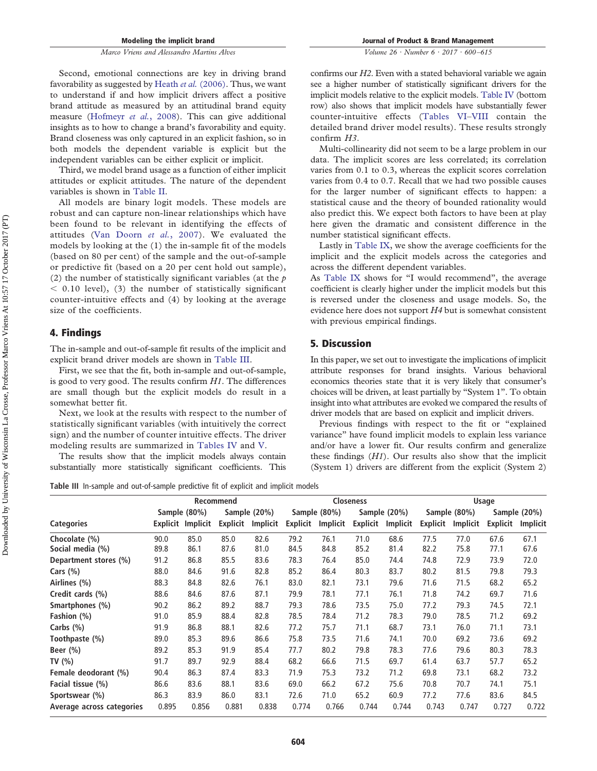Second, emotional connections are key in driving brand favorability as suggested by Heath *et al.* [\(2006\).](#page-15-7) Thus, we want to understand if and how implicit drivers affect a positive brand attitude as measured by an attitudinal brand equity measure [\(Hofmeyr](#page-15-26) *et al.*, 2008). This can give additional insights as to how to change a brand's favorability and equity. Brand closeness was only captured in an explicit fashion, so in both models the dependent variable is explicit but the independent variables can be either explicit or implicit.

Third, we model brand usage as a function of either implicit attitudes or explicit attitudes. The nature of the dependent variables is shown in [Table II.](#page-4-1)

All models are binary logit models. These models are robust and can capture non-linear relationships which have been found to be relevant in identifying the effects of attitudes [\(Van Doorn](#page-16-10) *et al.*, 2007). We evaluated the models by looking at the (1) the in-sample fit of the models (based on 80 per cent) of the sample and the out-of-sample or predictive fit (based on a 20 per cent hold out sample), (2) the number of statistically significant variables (at the *p*  $<$  0.10 level), (3) the number of statistically significant counter-intuitive effects and (4) by looking at the average size of the coefficients.

#### **4. Findings**

The in-sample and out-of-sample fit results of the implicit and explicit brand driver models are shown in [Table III.](#page-5-0)

First, we see that the fit, both in-sample and out-of-sample, is good to very good. The results confirm *H1*. The differences are small though but the explicit models do result in a somewhat better fit.

Next, we look at the results with respect to the number of statistically significant variables (with intuitively the correct sign) and the number of counter intuitive effects. The driver modeling results are summarized in [Tables IV](#page-6-0) and [V.](#page-6-1)

The results show that the implicit models always contain substantially more statistically significant coefficients. This **Journal of Product & Brand Management**

*Volume 26 · Number 6 · 2017 · 600–615*

confirms our *H2*. Even with a stated behavioral variable we again see a higher number of statistically significant drivers for the implicit models relative to the explicit models. [Table IV](#page-6-0) (bottom row) also shows that implicit models have substantially fewer counter-intuitive effects (Tables VI–VIII contain the detailed brand driver model results). These results strongly confirm *H3*.

Multi-collinearity did not seem to be a large problem in our data. The implicit scores are less correlated; its correlation varies from 0.1 to 0.3, whereas the explicit scores correlation varies from 0.4 to 0.7. Recall that we had two possible causes for the larger number of significant effects to happen: a statistical cause and the theory of bounded rationality would also predict this. We expect both factors to have been at play here given the dramatic and consistent difference in the number statistical significant effects.

Lastly in [Table IX,](#page-13-0) we show the average coefficients for the implicit and the explicit models across the categories and across the different dependent variables.

As [Table IX](#page-13-0) shows for "I would recommend", the average coefficient is clearly higher under the implicit models but this is reversed under the closeness and usage models. So, the evidence here does not support *H4* but is somewhat consistent with previous empirical findings.

#### **5. Discussion**

In this paper, we set out to investigate the implications of implicit attribute responses for brand insights. Various behavioral economics theories state that it is very likely that consumer's choices will be driven, at least partially by "System 1". To obtain insight into what attributes are evoked we compared the results of driver models that are based on explicit and implicit drivers.

Previous findings with respect to the fit or "explained variance" have found implicit models to explain less variance and/or have a lower fit. Our results confirm and generalize these findings (*H1*). Our results also show that the implicit (System 1) drivers are different from the explicit (System 2)

<span id="page-5-0"></span>**Table III** In-sample and out-of-sample predictive fit of explicit and implicit models

|                           |       |                   | Recommend |              |          |              | <b>Closeness</b> |              |                 |              | Usage    |              |
|---------------------------|-------|-------------------|-----------|--------------|----------|--------------|------------------|--------------|-----------------|--------------|----------|--------------|
|                           |       | Sample (80%)      |           | Sample (20%) |          | Sample (80%) |                  | Sample (20%) |                 | Sample (80%) |          | Sample (20%) |
| <b>Categories</b>         |       | Explicit Implicit | Explicit  | Implicit     | Explicit | Implicit     | <b>Explicit</b>  | Implicit     | <b>Explicit</b> | Implicit     | Explicit | Implicit     |
| Chocolate (%)             | 90.0  | 85.0              | 85.0      | 82.6         | 79.2     | 76.1         | 71.0             | 68.6         | 77.5            | 77.0         | 67.6     | 67.1         |
| Social media (%)          | 89.8  | 86.1              | 87.6      | 81.0         | 84.5     | 84.8         | 85.2             | 81.4         | 82.2            | 75.8         | 77.1     | 67.6         |
| Department stores (%)     | 91.2  | 86.8              | 85.5      | 83.6         | 78.3     | 76.4         | 85.0             | 74.4         | 74.8            | 72.9         | 73.9     | 72.0         |
| Cars $(\%)$               | 88.0  | 84.6              | 91.6      | 82.8         | 85.2     | 86.4         | 80.3             | 83.7         | 80.2            | 81.5         | 79.8     | 79.3         |
| Airlines (%)              | 88.3  | 84.8              | 82.6      | 76.1         | 83.0     | 82.1         | 73.1             | 79.6         | 71.6            | 71.5         | 68.2     | 65.2         |
| Credit cards (%)          | 88.6  | 84.6              | 87.6      | 87.1         | 79.9     | 78.1         | 77.1             | 76.1         | 71.8            | 74.2         | 69.7     | 71.6         |
| Smartphones (%)           | 90.2  | 86.2              | 89.2      | 88.7         | 79.3     | 78.6         | 73.5             | 75.0         | 77.2            | 79.3         | 74.5     | 72.1         |
| Fashion (%)               | 91.0  | 85.9              | 88.4      | 82.8         | 78.5     | 78.4         | 71.2             | 78.3         | 79.0            | 78.5         | 71.2     | 69.2         |
| Carbs $(\% )$             | 91.9  | 86.8              | 88.1      | 82.6         | 77.2     | 75.7         | 71.1             | 68.7         | 73.1            | 76.0         | 71.1     | 73.1         |
| Toothpaste (%)            | 89.0  | 85.3              | 89.6      | 86.6         | 75.8     | 73.5         | 71.6             | 74.1         | 70.0            | 69.2         | 73.6     | 69.2         |
| Beer $(\%)$               | 89.2  | 85.3              | 91.9      | 85.4         | 77.7     | 80.2         | 79.8             | 78.3         | 77.6            | 79.6         | 80.3     | 78.3         |
| TV $(% )$                 | 91.7  | 89.7              | 92.9      | 88.4         | 68.2     | 66.6         | 71.5             | 69.7         | 61.4            | 63.7         | 57.7     | 65.2         |
| Female deodorant (%)      | 90.4  | 86.3              | 87.4      | 83.3         | 71.9     | 75.3         | 73.2             | 71.2         | 69.8            | 73.1         | 68.2     | 73.2         |
| Facial tissue (%)         | 86.6  | 83.6              | 88.1      | 83.6         | 69.0     | 66.2         | 67.2             | 75.6         | 70.8            | 70.7         | 74.1     | 75.1         |
| Sportswear (%)            | 86.3  | 83.9              | 86.0      | 83.1         | 72.6     | 71.0         | 65.2             | 60.9         | 77.2            | 77.6         | 83.6     | 84.5         |
| Average across categories | 0.895 | 0.856             | 0.881     | 0.838        | 0.774    | 0.766        | 0.744            | 0.744        | 0.743           | 0.747        | 0.727    | 0.722        |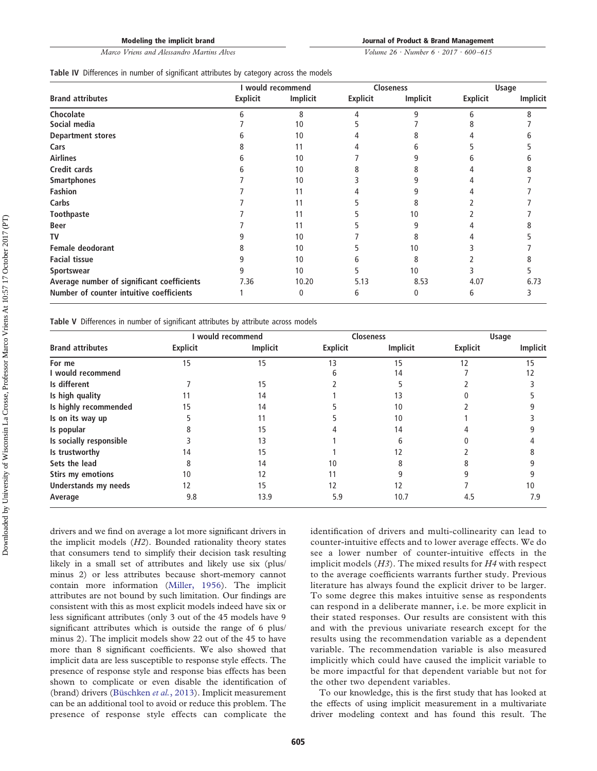*Marco Vriens and Alessandro Martins Alves*

**Journal of Product & Brand Management**

*Volume 26 · Number 6 · 2017 · 600–615*

<span id="page-6-0"></span>

|  | Table IV Differences in number of significant attributes by category across the models |  |  |  |  |  |  |  |  |  |  |
|--|----------------------------------------------------------------------------------------|--|--|--|--|--|--|--|--|--|--|
|--|----------------------------------------------------------------------------------------|--|--|--|--|--|--|--|--|--|--|

|                                            |                 | I would recommend |                 | Closeness    |                 | <b>Usage</b> |
|--------------------------------------------|-----------------|-------------------|-----------------|--------------|-----------------|--------------|
| <b>Brand attributes</b>                    | <b>Explicit</b> | Implicit          | <b>Explicit</b> | Implicit     | <b>Explicit</b> | Implicit     |
| Chocolate                                  |                 | 8                 |                 | a            |                 |              |
| Social media                               |                 | 10                |                 |              |                 |              |
| <b>Department stores</b>                   |                 | 10                |                 |              |                 |              |
| Cars                                       |                 | 11                |                 |              |                 |              |
| <b>Airlines</b>                            | n               | 10                |                 |              |                 |              |
| <b>Credit cards</b>                        |                 | 10                |                 |              |                 |              |
| <b>Smartphones</b>                         |                 | 10                |                 |              |                 |              |
| Fashion                                    |                 | 11                |                 |              |                 |              |
| Carbs                                      |                 | 11                |                 | 8            |                 |              |
| Toothpaste                                 |                 | 11                |                 | 10           |                 |              |
| <b>Beer</b>                                |                 | 11                |                 | q            |                 |              |
| TV                                         |                 | 10                |                 |              |                 |              |
| <b>Female deodorant</b>                    |                 | 10                |                 | 10           |                 |              |
| <b>Facial tissue</b>                       |                 | 10                |                 | 8            |                 |              |
| Sportswear                                 | 9               | 10                |                 | 10           |                 |              |
| Average number of significant coefficients | 7.36            | 10.20             | 5.13            | 8.53         | 4.07            | 6.73         |
| Number of counter intuitive coefficients   |                 | 0                 | 6               | $\mathbf{0}$ | 6               | 3            |

<span id="page-6-1"></span>**Table V** Differences in number of significant attributes by attribute across models

|                             |                 | would recommend |                 | <b>Closeness</b> |                 | Usage    |
|-----------------------------|-----------------|-----------------|-----------------|------------------|-----------------|----------|
| <b>Brand attributes</b>     | <b>Explicit</b> | <b>Implicit</b> | <b>Explicit</b> | <b>Implicit</b>  | <b>Explicit</b> | Implicit |
| For me                      | 15              | 15              | 13              | 15               | 12              | 15       |
| I would recommend           |                 |                 |                 | 14               |                 | 12       |
| Is different                |                 | 15              |                 |                  |                 |          |
| Is high quality             |                 | 14              |                 | 13               |                 |          |
| Is highly recommended       |                 | 14              |                 | 10               |                 |          |
| Is on its way up            |                 | 11              |                 | 10               |                 |          |
| Is popular                  |                 | 15              |                 | 14               |                 |          |
| Is socially responsible     |                 | 13              |                 |                  |                 |          |
| Is trustworthy              | 14              | 15              |                 | 12               |                 |          |
| Sets the lead               |                 | 14              | 10              |                  |                 |          |
| <b>Stirs my emotions</b>    | 10              | 12              |                 |                  |                 |          |
| <b>Understands my needs</b> | 12              | 15              | 12              | 12               |                 | 10       |
| Average                     | 9.8             | 13.9            | 5.9             | 10.7             | 4.5             | 7.9      |

drivers and we find on average a lot more significant drivers in the implicit models (*H2*). Bounded rationality theory states that consumers tend to simplify their decision task resulting likely in a small set of attributes and likely use six (plus/ minus 2) or less attributes because short-memory cannot contain more information [\(Miller, 1956\)](#page-15-24). The implicit attributes are not bound by such limitation. Our findings are consistent with this as most explicit models indeed have six or less significant attributes (only 3 out of the 45 models have 9 significant attributes which is outside the range of 6 plus/ minus 2). The implicit models show 22 out of the 45 to have more than 8 significant coefficients. We also showed that implicit data are less susceptible to response style effects. The presence of response style and response bias effects has been shown to complicate or even disable the identification of (brand) drivers [\(Büschken](#page-14-3) *et al.*, 2013). Implicit measurement can be an additional tool to avoid or reduce this problem. The presence of response style effects can complicate the

identification of drivers and multi-collinearity can lead to counter-intuitive effects and to lower average effects. We do see a lower number of counter-intuitive effects in the implicit models (*H3*). The mixed results for *H4* with respect to the average coefficients warrants further study. Previous literature has always found the explicit driver to be larger. To some degree this makes intuitive sense as respondents can respond in a deliberate manner, i.e. be more explicit in their stated responses. Our results are consistent with this and with the previous univariate research except for the results using the recommendation variable as a dependent variable. The recommendation variable is also measured implicitly which could have caused the implicit variable to be more impactful for that dependent variable but not for the other two dependent variables.

To our knowledge, this is the first study that has looked at the effects of using implicit measurement in a multivariate driver modeling context and has found this result. The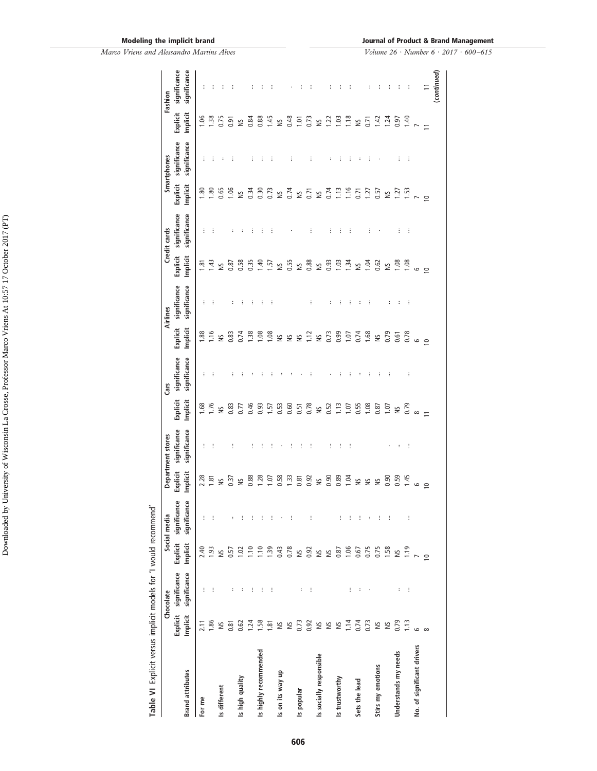| Table VI Explicit versus implicit models for 'I would recommend' |          |                                       |                 |                                          |                      |                              |                      |                              |                |                                       |                      |                              |                      |                              |                      |                              |
|------------------------------------------------------------------|----------|---------------------------------------|-----------------|------------------------------------------|----------------------|------------------------------|----------------------|------------------------------|----------------|---------------------------------------|----------------------|------------------------------|----------------------|------------------------------|----------------------|------------------------------|
|                                                                  |          | Chocolate                             |                 | Social media                             |                      | Department stores            |                      | Cars                         |                | Airlines                              |                      | Credit cards                 |                      | Smartphones                  |                      | Fashion                      |
| <b>Brand attributes</b>                                          | Implicit | Explicit significance<br>significance | Implicit        | Explicit significance<br>ප<br>significan | Explicit<br>Implicit | significance<br>significance | Explicit<br>Implicit | significance<br>significance | Implicit       | Explicit significance<br>significance | Explicit<br>Implicit | significance<br>significance | Explicit<br>Implicit | significance<br>significance | Explicit<br>Implicit | significance<br>significance |
| For me                                                           | 2.11     | ÷                                     | 2.40            | ÷                                        | 2.28                 | ÷                            | 1.68                 | ÷                            | <b>1.88</b>    | ÷                                     | জ়                   | ÷                            | $\frac{8}{1}$        | ÷                            | $-0.06$              | ÷                            |
|                                                                  | 1.86     | ÷                                     | 1.93            | ÷                                        | $\frac{81}{2}$       | ÷                            | 1.76                 | ÷                            | 1.16           | ÷                                     | 1.43                 |                              | $\frac{80}{2}$       | ÷                            | $\frac{38}{2}$       |                              |
| Is different                                                     | $\cong$  |                                       | $\geq$          |                                          | $\frac{5}{2}$        |                              | $\frac{5}{2}$        |                              | $\tilde{z}$    |                                       | $\frac{5}{2}$        |                              | 0.65                 |                              | 0.75                 |                              |
|                                                                  | 0.81     | $\ddot{\phantom{a}}$                  | 0.57            | $\ddot{\phantom{a}}$                     | 0.37                 | ÷                            | 0.83                 | ÷                            | 0.83           | ÷                                     | 0.87                 |                              | 1.06                 | ŧ                            | 0.91                 |                              |
| Is high quality                                                  | 0.62     | $\ddot{\phantom{a}}$                  | 1.02            | ÷                                        | $\frac{5}{2}$        |                              | 0.77                 |                              | 0.74           | I                                     | 0.58                 |                              | Š                    |                              | $\frac{5}{2}$        |                              |
|                                                                  | 1.24     | ÷                                     | 1.10            | ÷                                        | 0.88                 | ÷                            | 0.46                 |                              | $\frac{38}{2}$ | ÷                                     | 0.35                 | ÷                            | 0.34                 | ŧ                            | 0.84                 |                              |
| Is highly recommended                                            | 1.58     | ÷                                     | 1.10            | ÷                                        | 1.28                 | ÷                            | 0.93                 |                              | 1,08           | ÷                                     | 1.40                 | ÷                            | 0.30                 |                              | 0.88                 |                              |
|                                                                  | 1.81     | ÷                                     | 1.39            | ÷                                        | 1.07                 | ĵ                            | 1.57                 |                              | 1,08           | ÷                                     | 1.57                 | ÷                            | 0.73                 | ÷                            | 1.45                 |                              |
| Is on its way up                                                 | S        |                                       | 0.43            |                                          | 0.58                 |                              | 0.53                 |                              | S              |                                       | $\geq$               |                              | š                    |                              | š                    |                              |
|                                                                  | S        |                                       | 0.78            | ÷                                        | 1.33                 | ĵ                            | 0.60                 |                              | $\gtrapprox$   |                                       | 0.55                 |                              | 0.74                 | ŧ                            | 0.48                 |                              |
| Is popular                                                       | 0.73     | $\ddot{\phantom{a}}$                  | $\breve{=}$     |                                          | 0.81                 | İ                            | 0.51                 |                              | $\tilde{z}$    |                                       | $\gtrapprox$         |                              | $\geq$               |                              | $\overline{0}$       | ÷                            |
|                                                                  | 0.92     | ÷                                     | 0.92            | ÷                                        | 0.92                 | $\vdots$                     | 0.78                 | ÷                            | $\frac{12}{2}$ | I                                     | 0.88                 | ÷                            | 0.71                 | ŧ                            | 0.73                 | ÷                            |
| Is socially responsible                                          | S        |                                       | $\lessgtr$      |                                          | ΣN                   |                              | ΣN                   |                              | š              |                                       | S                    |                              | š                    |                              | š                    |                              |
|                                                                  | S        |                                       | $\breve{=}$     |                                          | 0.90                 | ÷                            | 0.52                 |                              | 0.73           | $\vdots$                              | 0.93                 | ÷                            | 0.74                 | ÷                            | 1.22                 | ÷                            |
| Is trustworthy                                                   | $\cong$  |                                       | 0.87            | ÷                                        | 0.89                 | ÷                            | $\Xi$                | ÷                            | 0.99           | ÷                                     | 1.03                 | ÷                            | 1.13                 | ÷                            | 1,03                 | ÷                            |
|                                                                  | 1.14     | ÷                                     | 1.06            | ÷                                        | 1.04                 | ÷                            | 107                  | ÷                            | 107            | ÷                                     | 1.34                 | ÷                            | 1.16                 | ŧ                            | 1.18                 | ÷                            |
| Sets the lead                                                    | 0.74     | :                                     | 0.67            | ÷                                        | $\geq$               |                              | 0.55                 | $\ddot{\phantom{a}}$         | 0.74           | ÷                                     | $\gtrapprox$         |                              | $-5$                 | ÷                            | $\gtrapprox$         |                              |
|                                                                  | 0.73     |                                       | 0.75            | $\colon$                                 | $\approx$            |                              | 1,08                 | ÷                            | 1.68           | ÷                                     | 1.04                 | ÷                            | 1.27                 | ÷                            | 0.71                 |                              |
| Stirs my emotions                                                | $\cong$  |                                       | 0.75            | ÷                                        | $\frac{5}{2}$        |                              | 0.87                 | ŧ                            | $\tilde{z}$    |                                       | 0.62                 |                              | 0.57                 | ٠                            | 1.42                 | ÷                            |
|                                                                  | $\cong$  |                                       | 1.58            | ÷                                        | 0.90                 |                              | 1.07                 | ÷                            | 0.79           | ÷                                     | $\tilde{\mathbf{S}}$ |                              | $\gtrapprox$         |                              | 1.24                 | ÷                            |
| Understands my needs                                             | 0.79     | $\vdots$                              | $\tilde{\Xi}$   |                                          | 0.59                 | $\ddot{\phantom{0}}$         | $\frac{5}{2}$        |                              | 0.61           | $\ddot{\phantom{0}}$                  | 1.08                 | ÷                            | 1.27                 | ÷                            | 0.97                 | ÷                            |
|                                                                  | 1.13     | ÷                                     | 1.19            | ÷                                        | 1.45                 | ÷                            | 0.79                 | ÷                            | 0.78           | ÷                                     | 1.08                 | ÷                            | 5                    | ÷                            | 1,40                 | ÷                            |
| No. of significant drivers                                       | ی        |                                       |                 |                                          | 6                    |                              | $\infty$             |                              | G              |                                       | G                    |                              |                      |                              |                      |                              |
|                                                                  | $\infty$ |                                       | $\overline{10}$ |                                          | $\subseteq$          |                              |                      |                              | $\circ$        |                                       | $\subseteq$          |                              | $\circ$              |                              | $\equiv$             | $\overline{1}$               |
|                                                                  |          |                                       |                 |                                          |                      |                              |                      |                              |                |                                       |                      |                              |                      |                              |                      | (continued)                  |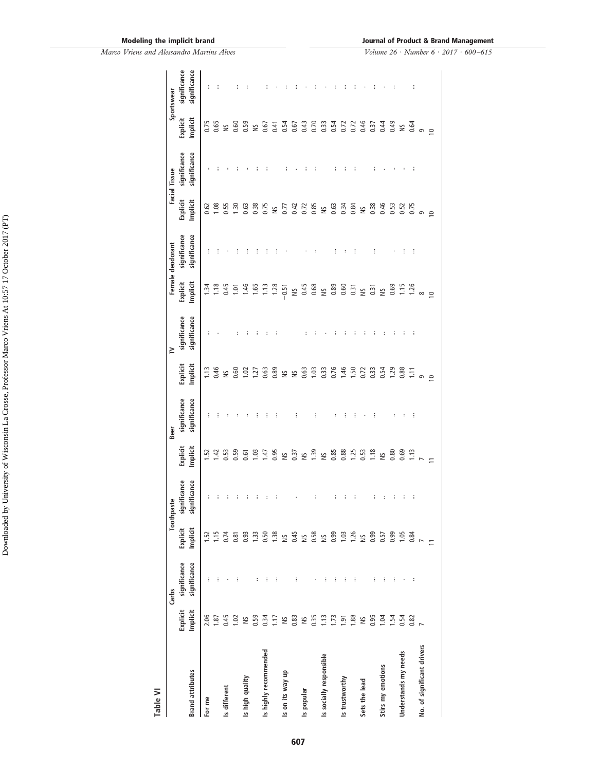| Table VI                   |                      |                              |                      |                              |                      |                              |                      |                              |                      |                              |                      |                              |                      |                              |
|----------------------------|----------------------|------------------------------|----------------------|------------------------------|----------------------|------------------------------|----------------------|------------------------------|----------------------|------------------------------|----------------------|------------------------------|----------------------|------------------------------|
|                            |                      | Carbs                        |                      | Toothpaste                   |                      | Beer                         |                      | $\geq$                       |                      | Female deodorant             |                      | Facial Tissue                |                      | Sportswear                   |
| <b>Brand attributes</b>    | Explicit<br>Implicit | significance<br>significance | Explicit<br>Implicit | significance<br>significance | Implicit<br>Explicit | significance<br>significance | Implicit<br>Explicit | significance<br>significance | Explicit<br>Implicit | significance<br>significance | Explicit<br>Implicit | significance<br>significance | Explicit<br>Implicit | significance<br>significance |
| For me                     | 2.06                 | ÷                            | 1.52                 | ÷                            | $\overline{52}$      | ÷                            | 1.13                 | ÷                            | 1.34                 | ÷                            | 0.62                 | $\ddot{\phantom{a}}$         | 0.75                 | İ                            |
|                            | 1.87                 | Ì                            | 1.15                 |                              | $\overline{142}$     |                              | 0.46                 |                              | 1.18                 |                              | 0.08                 |                              | 0.65                 |                              |
| Is different               | 0.45                 |                              | 0.74                 |                              | 0.53                 |                              | $\leq$               |                              | 0.45                 |                              | 0.55                 |                              | $\frac{5}{2}$        |                              |
|                            | 1.02                 | Ì                            | 0.81                 |                              | 0.59                 |                              | 0.60                 |                              | 1.01                 |                              | 1.30                 |                              | 0.60                 |                              |
| Is high quality            | S                    |                              | 0.93                 |                              | 0.61                 |                              | $\approx$            |                              | 1.46                 |                              | 0.63                 |                              | 0.59                 |                              |
|                            | 0.59                 | ÷                            | 1.33                 | ፡                            | 1.03                 |                              | $\overline{127}$     |                              | 1,65                 |                              | 0.38                 |                              | $\frac{5}{2}$        |                              |
| Is highly recommended      | 0.34                 | Ì                            | 0.50                 |                              | 1.47                 |                              | 0.63                 |                              | 1.13                 |                              | 0.75                 |                              | 0.67                 |                              |
|                            | 1.17                 | İ                            | 1.38                 |                              | 0.95                 |                              | 0.89                 |                              | 1.28                 |                              | $\tilde{\Xi}$        |                              | 0.41                 |                              |
| Is on its way up           | $\tilde{z}$          |                              | ¥                    |                              | $\frac{5}{2}$        |                              | ¥                    |                              | $-0.51$              |                              | 0.77                 | ŧ                            | 0.54                 |                              |
|                            | 0.83                 | İ                            | 0.45                 |                              | 0.37                 | ŧ                            | $\tilde{\Xi}$        |                              | S                    |                              | 0.42                 |                              | 0.67                 |                              |
| Is popular                 | $\tilde{z}$          |                              | $\tilde{z}$          |                              | $\frac{5}{2}$        |                              | 0.63                 |                              | 0.45                 |                              | 0.72                 |                              | 0.43                 |                              |
|                            | 0.35                 |                              | 0.58                 | ŧ                            | <b>1.39</b>          | ÷                            | 1.03                 |                              |                      |                              | 0.85                 |                              | 0.70                 |                              |
| Is socially responsible    | 1.13                 | $\vdots$                     | <b>NS</b>            |                              | Š                    |                              | 0.33                 |                              |                      |                              | $\approx$            |                              | 0.33                 |                              |
|                            | 1.73                 | İ                            | 0.99                 | i                            | 0.85                 |                              | 0.76                 |                              |                      |                              | 0.63                 |                              | 0.54                 |                              |
| Is trustworthy             | 1.91                 | $\vdots$                     | 1.03                 |                              | 0.88                 |                              | 1.46                 |                              |                      |                              | 0.34                 |                              | 0.72                 |                              |
|                            | 1.88                 | $\vdots$                     | 1.26                 | ÷                            | 1.25                 | ÷                            | 1.50                 |                              |                      | ÷                            | 0.84                 | ÷                            | 0.72                 |                              |
| Sets the lead              | S                    |                              | $\frac{1}{2}$        |                              | 0.53                 |                              | 0.72                 | I                            |                      |                              | NS                   |                              | 0.46                 |                              |
|                            | 0.95                 | $\vdots$                     | 0.99                 | ÷                            | 1.18                 | ÷                            | 0.33                 | Ì                            | $\overline{0.31}$    | ÷                            | 0.38                 | ÷                            | 0.37                 |                              |
| Stirs my emotions          | 1.04                 | $\vdots$                     | 0.57                 |                              | Š                    |                              | 0.54                 | $\ddot{\phantom{a}}$         | NS <sub>1</sub>      |                              | 0.46                 |                              | 0.44                 |                              |
|                            | 1.54                 | İ                            | 0.99                 | i                            | 0.80                 | ÷                            | 1,29                 | i                            | $0.69$<br>1.15       |                              | $0.53$<br>$0.52$     | ÷                            | 0.49                 |                              |
| Understands my needs       | 0.54                 |                              | 1.05                 | i                            | 0.69                 | ÷                            | 0.88                 | i                            |                      | ÷                            |                      |                              | $\frac{5}{2}$        |                              |
|                            | 0.82                 | $\ddot{\phantom{a}}$         | 0.84                 | ÷                            | 1.13                 | ÷                            | 1.11                 | ÷                            | 1.26                 | ÷                            | 0.75                 | ÷                            | 0.64                 | ÷                            |
| No. of significant drivers |                      |                              |                      |                              |                      |                              | $\frac{1}{2}$        |                              | $\infty$             |                              | G                    |                              | $\sigma$             |                              |
|                            |                      |                              | $\equiv$             |                              |                      |                              |                      |                              | $\subseteq$          |                              | $\circ$              |                              | $\subseteq$          |                              |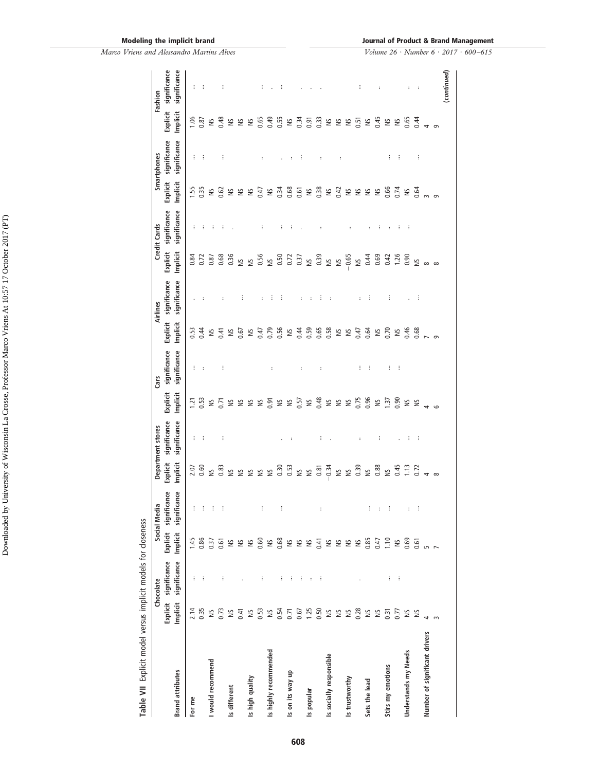*Marco Vriens and Alessandro Martins Alves*

| Table VII Explicit model versus implicit models for closeness |                  | Chocolate             |               | Social Media |                                         | Department stores    |                  | Cars                 |               | Airlines     |                      | <b>Credit Cards</b>  |             | Smartphones          |               | Fashion              |
|---------------------------------------------------------------|------------------|-----------------------|---------------|--------------|-----------------------------------------|----------------------|------------------|----------------------|---------------|--------------|----------------------|----------------------|-------------|----------------------|---------------|----------------------|
|                                                               |                  | Explicit significance | Explicit      | significance | Explicit                                | significance         | Explicit         | significance         | Explicit      | significance | Explicit             | significance         | Explicit    | significance         | Explicit      | significance         |
| <b>Brand attributes</b>                                       | Implicit         | significance          | Implicit      | significance | Implicit                                | significance         | Implicit         | significance         | Implicit      | significance | Implicit             | significance         | Implicit    | significance         | Implicit      | significance         |
| Ĕ<br>For                                                      |                  | ÷                     | 1.45          | ÷            | 2.07                                    | ÷                    | $\overline{121}$ | ÷                    | 0.53          |              | 0.84                 | ÷                    | 1.55        | ÷                    | 1.06          | ÷                    |
|                                                               | $2.14$<br>0.35   | ÷                     | 0.86          | ÷            | 0.60                                    | ÷                    | 0.53             |                      | 0.44          |              | 0.72                 | ÷                    | 0.35        | ÷                    | 0.87          | ÷                    |
| would recommend                                               | $\geq$           |                       | 0.37          | з.           | $\tilde{\mathbb{S}}$                    |                      | $\geq$           |                      | Š             |              | 0.87                 | ÷                    | $\geq$      |                      | $\approx$     |                      |
|                                                               | 0.73             | ÷                     | 0.61          | - 1          | 0.83                                    | ÷                    | 0.71             | ÷                    | 0.41          |              | 0.68                 | ÷                    | 0.62        | ÷                    | 0.48          | ŧ                    |
| Is different                                                  | $\cong$          |                       |               |              | S                                       |                      | S                |                      | $\frac{5}{2}$ |              | 0.36                 |                      | $\geq$      |                      | $\approx$     |                      |
|                                                               | 0.41             |                       | S & S         |              | ¥                                       |                      | S                |                      | 0.67          | ÷            | $\leq$               |                      | S           |                      | $\frac{5}{2}$ |                      |
| Is high quality                                               | $\geq$           |                       |               |              | S                                       |                      | S                |                      | š             |              | S                    |                      | S           |                      | $\frac{5}{2}$ |                      |
|                                                               | 0.53             | ÷                     | 0.60          | ÷            | $\cong$                                 |                      | S                |                      | 0.47          |              |                      | ÷                    | 0.47        | г                    | 0.65          | ÷                    |
| Is highly recommended                                         | $\tilde{S}$      |                       | SN            |              | $\tilde{z}$                             |                      | 0.91             | $\ddot{\phantom{a}}$ | 0.79          | ŧ            | 0.56<br>NS           |                      | $\geq$      |                      | 0.49          |                      |
|                                                               | 0.54             | ÷                     | 0.68          | ÷            | 0.30                                    |                      | S                |                      | 0.56          | ÷            | 0.50                 | ÷                    | 0.34        |                      | 0.55          | ÷                    |
| Is on its way up                                              |                  | ÷                     |               |              | 0.53                                    | $\ddot{\phantom{a}}$ | $\cong$          |                      | $\gtrapprox$  |              |                      | ÷                    | 0.68        | $\ddot{\phantom{a}}$ | $\frac{5}{2}$ |                      |
|                                                               | $0.71$<br>$0.67$ | ÷                     | S & S         |              |                                         |                      | 0.57             | ÷                    | 0.44          | ÷            | 0.72<br>0.37<br>NS   |                      | 0.61        | ÷                    | 0.34          |                      |
| Is popular                                                    | 1.25             | $\colon$              |               |              | S S                                     |                      | $\cong$          |                      | 0.59          | ÷            |                      |                      | $\geq$      |                      | 0.91          |                      |
|                                                               | 0.50             | ÷                     | 0.41          | ÷            |                                         | ÷                    | 0.48             | $\colon$             | 0.65          | ÷            | 0.39                 | $\ddot{\phantom{a}}$ | 0.38        | ÷                    | 0.33          |                      |
| Is socially responsible                                       |                  |                       |               |              |                                         |                      | S                |                      | 0.58          |              | $\tilde{\Xi}$        |                      | $\tilde{z}$ |                      | š             |                      |
|                                                               |                  |                       |               |              |                                         |                      | S                |                      | S             |              | $\leq$               |                      | 0.42        | $\ddot{\phantom{a}}$ | š             |                      |
| Is trustworthy                                                | <b>SE 5 3</b>    |                       | <b>2222</b>   |              | $0.81$<br>$-0.34$<br>$-0.34$<br>$-0.39$ |                      | S                |                      | $\frac{5}{2}$ |              | 0.65                 | ÷                    | $\geq$      |                      | š             |                      |
|                                                               |                  |                       |               |              |                                         | $\ddot{\phantom{a}}$ | 0.75             | ÷                    | 0.47          | ÷            | $\tilde{\mathbb{S}}$ |                      | S           |                      | 0.51          | ÷                    |
| Sets the lead                                                 | S &              |                       | 0.85          | ÷            | $\leq$                                  |                      | 0.96             | ÷                    | 0.64          | ÷            | 0.44                 | ÷                    | S           |                      | Š             |                      |
|                                                               |                  |                       | 0.47          | $\cdot$      | 38<br>NS                                | ÷                    | $\geq$           |                      | $\frac{5}{2}$ |              | 0.69                 | ÷                    | $\geq$      |                      | 0.45          | ÷                    |
| Stirs my emotions                                             | 0.31             | ÷                     | 1.10          | ÷            |                                         |                      | 1.37             | ÷                    | 0.70          | ÷            | 0.42                 | :                    | 0.66        | ÷                    | $\frac{5}{2}$ |                      |
|                                                               | 0.77             | ÷                     | $\frac{5}{2}$ |              | $0.45$<br>1.13                          | $\ddot{\phantom{a}}$ | 0.90             | ÷                    | $\frac{5}{2}$ |              | $1.26$<br>0.90       | ÷                    | 0.74        | ÷                    | $\frac{5}{2}$ |                      |
| Understands my Needs                                          | $\cong$          |                       | 0.69          |              |                                         | ÷                    | $\geq$           |                      | 0.46          |              |                      | ÷                    | S           |                      | 0.65          | т                    |
|                                                               | š                |                       | 0.61          | ÷            | 0.72                                    | ÷                    | S                |                      | 0.68          | ÷            | $\tilde{z}$          |                      | 0.64        | ÷                    | 0.44          | $\ddot{\phantom{a}}$ |
| Number of significant drivers                                 | 4                |                       | $m$ $\sim$    |              |                                         |                      |                  |                      |               |              | $\infty$             |                      |             |                      |               |                      |
|                                                               |                  |                       |               |              | $\infty$                                |                      |                  |                      |               |              | $\infty$             |                      |             |                      | $\sigma$      |                      |
|                                                               |                  |                       |               |              |                                         |                      |                  |                      |               |              |                      |                      |             |                      |               | (continued)          |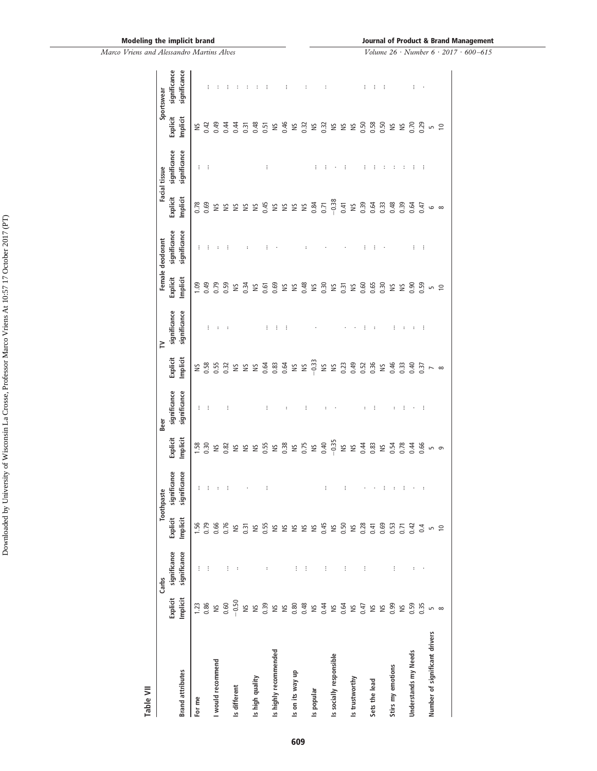| Table VII                     |                      |                              |                      |                              |                      |                              |                      |                              |                           |                              |                      |                              |                      |                              |
|-------------------------------|----------------------|------------------------------|----------------------|------------------------------|----------------------|------------------------------|----------------------|------------------------------|---------------------------|------------------------------|----------------------|------------------------------|----------------------|------------------------------|
|                               |                      | Carbs                        | Tooth                | paste                        |                      | Beer                         |                      | $\geq$                       |                           | Female deodorant             |                      | Facial tissue                |                      | Sportswear                   |
| <b>Brand attributes</b>       | Implicit<br>Explicit | significance<br>significance | Explicit<br>Implicit | significance<br>significance | Implicit<br>Explicit | significance<br>significance | Explicit<br>Implicit | significance<br>significance | Explicit<br>Implicit      | significance<br>significance | Explicit<br>Implicit | significance<br>significance | Explicit<br>Implicit | significance<br>significance |
| For me                        | 1.23                 | ŧ                            | 1.56                 | ÷                            | 1.58                 | ÷                            | S                    |                              | 1,09                      |                              | 0.78                 | ÷                            | S                    |                              |
|                               | 0.86                 | ÷                            | 0.79                 | ÷                            | 0.30                 | ÷                            | 0.58                 | ŧ                            | 0.49                      |                              | 0.69                 | ÷                            | 0.42                 |                              |
| I would recommend             | $\breve{=}$          |                              | 0.66                 | ÷                            | $\approx$            |                              | 0.55                 | $\ddot{\phantom{a}}$         | 0.79                      |                              | S                    |                              | 0.49                 |                              |
|                               | 0.60                 | ÷                            | 0.76                 | ÷                            | 0.82                 | ÷                            | 0.32                 | $\ddot{\phantom{a}}$         | 0.59                      |                              | ≌                    |                              | 0.44                 |                              |
| Is different                  | $-0.50$              | $\ddot{\phantom{a}}$         | $\approx$            |                              | $\geq$               |                              | S                    |                              | $\frac{5}{2}$             |                              | $\tilde{z}$          |                              | 0.44                 | ÷                            |
|                               | $\geq$               |                              | 0.31                 |                              | 兰                    |                              | ≌                    |                              | 0.34                      |                              | S                    |                              | 0.31                 |                              |
| Is high quality               | $\cong$              |                              | $\approx$            |                              | $\geq$               |                              | S                    |                              | $\approx$                 |                              | $\geq$               |                              | 0.48                 |                              |
|                               | 0.39                 |                              | 0.55                 | ÷                            | 0.55                 | ÷                            | 0.64                 | ŧ                            | 0.61                      | ÷                            | 0.45                 | ÷                            | 0.51                 | ÷                            |
| Is highly recommended         | $\tilde{\mathbf{z}}$ |                              | $\approx$            |                              | $\tilde{\Xi}$        |                              | 0.83                 | ŧ                            | 0.69                      |                              | $\cong$              |                              | S                    |                              |
|                               | $\cong$              |                              | $\approx$            |                              | 0.38                 | ÷                            | 0.64                 | ÷                            | Š                         |                              | $\geq$               |                              | 0.46                 | ÷                            |
| Is on its way up              | 0.80                 | ŧ                            | NS<br>NS             |                              | $\geq$               |                              | $\approx$            |                              | $\mathop{\rm s}\nolimits$ |                              | $\geq$               |                              | $\cong$              |                              |
|                               | 0.48                 | ŧ                            |                      |                              | 0.75                 | ÷                            | $\cong$              |                              | 0.48                      |                              | $\geq$               |                              | 0.32                 | $\ddot{\phantom{a}}$         |
| Is popular                    | $\geq$               |                              | $\approx$            |                              | $\breve{=}$          |                              | $-0.33$              |                              | $\approx$                 |                              | 0.84                 | ÷                            | $\cong$              |                              |
|                               | 0.44                 | ÷                            | 0.45                 | ÷                            | 0.40                 |                              | S                    |                              | 0.30                      |                              | 0.71                 |                              | 0.32                 | ÷                            |
| Is socially responsible       | $\frac{1}{2}$        |                              | $\approx$            |                              | $-0.35$              |                              | $\cong$              |                              | $\geq$                    |                              | $-0.38$              |                              | S                    |                              |
|                               | 0.64                 | ÷                            | 0.50                 | ÷                            | S                    |                              | 0.23                 |                              | 0.31                      |                              | 0.41                 | Ξ                            | $\tilde{z}$          |                              |
| Is trustworthy                | S                    |                              | $\geq$               |                              | $\geq$               |                              | 0.49                 |                              | $\approx$                 |                              | $\cong$              |                              | S                    |                              |
|                               | 0.47                 | ŧ                            | 0.28                 |                              | 0.44                 | ÷                            | 0.52                 | ŧ                            | 0.60                      | ÷                            | 0.39                 | ÷                            | 0.50                 | ŧ                            |
| Sets the lead                 | S                    |                              | 0.41                 |                              | 0.83                 | ÷                            | 0.36                 | :                            | 0.65                      | ÷                            | 0.64                 | ÷                            | 0.58                 | ÷                            |
|                               | $\geq$               |                              | 0.69                 | ÷                            | $\geq$               |                              | S                    |                              | 0.30                      |                              | 0.33                 | ÷                            | 0.50                 | ÷                            |
| Stirs my emotions             | 0.99                 | ŧ                            | 0.53                 | ÷                            | 0.54                 | ÷                            | 0.46                 | ŧ                            | S                         |                              | 0.48                 |                              | S                    |                              |
|                               | $\approx$            |                              | 0.71                 | ÷                            | 0.78                 | ÷                            | 0.33                 | ÷                            | $\frac{5}{2}$             |                              |                      |                              | $\tilde{z}$          |                              |
| Understands my Needs          | 0.59                 | $\ddot{\phantom{a}}$         | 0.42                 |                              | 0.44                 |                              | 0.40                 | $\vdots$                     | 0.90                      | ÷                            | $0.39$<br>$0.64$     | ÷                            | 0.70                 | ÷                            |
|                               | 0.35                 |                              | 0.4                  | $\ddot{\phantom{a}}$         | 0.66                 | ÷                            | 0.37                 | ÷                            | 0.59                      | ÷                            | 0.47                 | ÷                            | 0.29                 | ٠                            |
| Number of significant drivers | LN                   |                              | $\overline{5}$       |                              |                      |                              |                      |                              | S                         |                              | 6                    |                              | S                    |                              |
|                               |                      |                              | $\approx$            |                              | 9                    |                              |                      |                              | $\approx$                 |                              | $\infty$             |                              | $\approx$            |                              |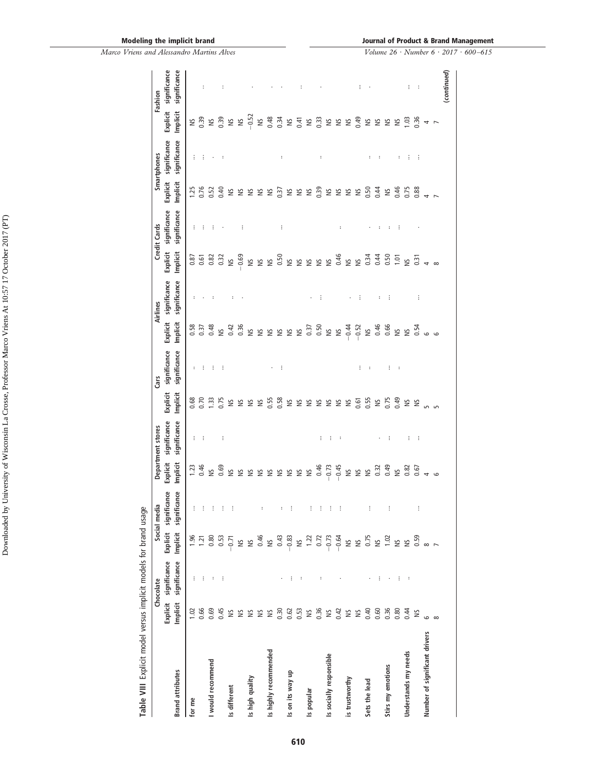*Marco Vriens and Alessandro Martins Alves*

| Table VIII Explicit model versus implicit models for brand usage |                |                                    |                              |                              |                    |                                   |              |                      |                    |                          |                      |                                     |             |                             |                                   |                          |
|------------------------------------------------------------------|----------------|------------------------------------|------------------------------|------------------------------|--------------------|-----------------------------------|--------------|----------------------|--------------------|--------------------------|----------------------|-------------------------------------|-------------|-----------------------------|-----------------------------------|--------------------------|
|                                                                  |                | Explicit significance<br>Chocolate | Explicit                     | significance<br>Social media | Explicit           | significance<br>Department stores | Explicit     | significance<br>Cars | Explicit           | significance<br>Airlines | Explicit             | significance<br><b>Credit Cards</b> | Explicit    | significance<br>Smartphones | Explicit                          | significance<br>Fashion  |
| <b>Brand attributes</b>                                          | Implicit       | significance                       | Implicit                     | significance                 | Implicit           | significance                      | Implicit     | significance         | Implicit           | significance             | Implicit             | significance                        | Implicit    | significance                | Implicit                          | significance             |
| for me                                                           |                | ÷                                  |                              | ÷                            |                    |                                   |              | $\sim$               | 0.58               | ÷                        | 0.87                 | ÷.                                  | 1.25        |                             |                                   |                          |
|                                                                  | $1.02$<br>0.66 | ÷                                  | $1.36$<br>$1.21$             | ÷                            | $\frac{23}{0.46}$  | 王王王                               | 0.68<br>0.70 | ÷                    | 0.37               |                          | 0.61                 | ÷                                   | 0.76        | $\frac{1}{2}$               | $\frac{65}{50}$                   | $\ddot{\phantom{a}}$     |
| would recommend                                                  | 0.69           | $\vdots$                           | 0.80                         | ÷                            | $\geq$             |                                   | 1.33         | - 90                 | 0.48               | $\ddot{\phantom{a}}$     | 0.82                 | - 3                                 | 0.52        | $\cdot$                     |                                   |                          |
|                                                                  | 0.45           | ÷                                  | 0.53                         | ÷                            | 0.69               | ÷                                 |              | - E                  | ΣN                 |                          | 0.32                 |                                     | 0.40        | $\sim$ 1                    |                                   | ÷                        |
| Is different                                                     | $\cong$        |                                    | $-0.71$                      | ÷                            |                    |                                   | $0.75$<br>NS |                      | 0.42               | ÷                        | $\tilde{\mathbb{S}}$ |                                     | S           |                             | $29.50$<br>$-0.52$                |                          |
|                                                                  |                |                                    | ΣN                           |                              |                    |                                   | $\tilde{z}$  |                      | 0.36               |                          | $-0.69$              | ÷                                   |             |                             |                                   |                          |
| Is high quality                                                  | S &            |                                    | $\tilde{S}$                  |                              |                    |                                   | S            |                      | S                  |                          |                      |                                     | <b>SSSS</b> |                             |                                   |                          |
|                                                                  | $\tilde{z}$    |                                    | 0.46                         | ÷                            |                    |                                   | S            |                      | $\approx$          |                          | S S S                |                                     |             |                             | $\approx$                         |                          |
| Is highly recommended                                            | Σ              |                                    | $\tilde{\Xi}$                |                              | 222222223          |                                   | 0.55         |                      |                    |                          |                      |                                     |             |                             | 0.48                              |                          |
|                                                                  | 0.30           |                                    | 0.43                         | ÷                            |                    |                                   | 0.58         | ÷                    |                    |                          | 0.50                 | ÷                                   | 0.37        | $\ddot{\phantom{a}}$        | 0.34                              |                          |
| on its way up<br>ی                                               | 0.62           | ÷                                  | $-0.83$                      | ÷                            |                    |                                   | $\Xi$        |                      |                    |                          | $\tilde{\Xi}$        |                                     |             |                             |                                   |                          |
|                                                                  | 0.53           | $\colon$                           | $\frac{1.22}{}$              |                              |                    |                                   | ≌ ≌          |                      |                    |                          | S &                  |                                     | S & &       |                             | $\approx 5$ s                     | ÷                        |
| popular<br>ی                                                     | $\geq$         |                                    |                              | ÷                            |                    |                                   |              |                      | $88888372050$      |                          |                      |                                     |             |                             |                                   |                          |
|                                                                  | 0.36           | $\ddot{\phantom{a}}$               | $0.72$<br>$-0.73$<br>$-0.64$ | ÷                            | 0.46               | ÷                                 | S & S        |                      |                    | ÷                        | $\tilde{\Xi}$        |                                     | 0.39        | $\ddot{\phantom{a}}$        | $\frac{33}{25}$ & $\frac{22}{25}$ |                          |
| Is socially responsible                                          | $\Xi$          |                                    |                              | ÷                            |                    | ÷                                 |              |                      |                    |                          | $\cong$              |                                     | ≌ ≌         |                             |                                   |                          |
|                                                                  | 0.42           |                                    |                              | ÷                            | $-0.73$<br>$-0.45$ | $\colon$                          |              |                      | S &                |                          | 0.46                 | $\ddot{\phantom{a}}$                |             |                             |                                   |                          |
| is trustworthy                                                   | $\cong$        |                                    | SN                           |                              |                    |                                   | ۵N           |                      |                    |                          | ≌ ≌                  |                                     |             |                             |                                   |                          |
|                                                                  | $\tilde{z}$    |                                    | $1.56$<br>$-1.02$<br>$-1.02$ |                              | S S S              |                                   | 0.61<br>០.55 | ÷                    | $-0.52$<br>$-0.52$ | ÷                        |                      |                                     | 9.50        |                             | NS<br>0.49                        | ÷                        |
| Sets the lead                                                    | 0.40           |                                    |                              | ÷                            |                    |                                   |              | $\cdot$              |                    |                          | 0.34                 |                                     |             | $\vdots$                    | $\frac{5}{2}$                     | $\cdot$                  |
|                                                                  | 0.60           | ÷                                  |                              |                              |                    |                                   | $\geq$       |                      |                    | ÷                        | 0.44                 | ÷                                   | 0.44        | ÷                           |                                   |                          |
| Stirs my emotions                                                | 0.36           |                                    |                              | ÷                            | $\frac{33}{9}$ is  | ÷                                 | 0.75         | ÷                    | 0.46<br>0.66       | ÷                        | 0.50                 | ÷                                   | $\geq$      |                             | ≌ ≌                               |                          |
|                                                                  | 0.80           | ÷                                  |                              |                              |                    |                                   | 0.49         | $\cdot$              | $254$<br>$254$     |                          | 1.01                 | - 3                                 | 0.46        | $\ddot{\phantom{a}}$        | S                                 |                          |
| Understands my needs                                             | 0.44           | $\ddot{\phantom{a}}$               | NS<br>0.59                   |                              | 0.82               | ÷                                 | S &          |                      |                    |                          | $\leq$               |                                     | 0.75        | ÷                           | 1,03                              | ÷.                       |
|                                                                  | S              |                                    |                              | ÷                            | 0.67               | ÷                                 |              |                      |                    | ÷                        | $\overline{0.31}$    |                                     | 0.88        | ÷                           | 0.36                              | $\overline{\phantom{a}}$ |
| Number of significant drivers                                    | $\circ$        |                                    |                              |                              |                    |                                   |              |                      | $\circ$            |                          |                      |                                     |             |                             | 4                                 |                          |
|                                                                  | $\infty$       |                                    | $\overline{a}$               |                              |                    |                                   |              |                      | $\circ$            |                          |                      |                                     |             |                             |                                   |                          |
|                                                                  |                |                                    |                              |                              |                    |                                   |              |                      |                    |                          |                      |                                     |             |                             |                                   | (continued)              |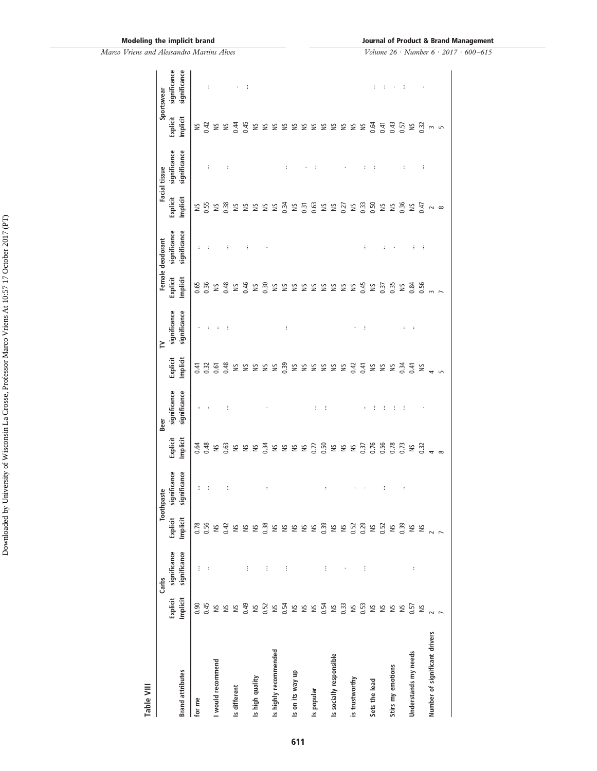| Table VIII                    |                      |                              |                        |                              |                      |                              |                      |                              |                      |                              |                      |                              |                      |                              |
|-------------------------------|----------------------|------------------------------|------------------------|------------------------------|----------------------|------------------------------|----------------------|------------------------------|----------------------|------------------------------|----------------------|------------------------------|----------------------|------------------------------|
|                               |                      | Carbs                        | Toot                   | hpaste                       |                      | Beer                         |                      | $\geq$                       |                      | Female deodorant             |                      | Facial tissue                |                      | Sportswear                   |
| <b>Brand attributes</b>       | Explicit<br>Implicit | significance<br>significance | Explicit<br>Implicit   | significance<br>significance | Explicit<br>Implicit | significance<br>significance | Explicit<br>Implicit | significance<br>significance | Explicit<br>Implicit | significance<br>significance | Explicit<br>Implicit | significance<br>significance | Explicit<br>Implicit | significance<br>significance |
| for me                        | 0.90                 | ÷                            |                        | ÷                            | 0.64                 | ÷                            | 0.41                 | $\cdot$                      | 0.65                 | ÷                            | S                    |                              |                      |                              |
|                               | 0.45                 | $\ddot{\phantom{a}}$         | 0.78<br>0.56           | ÷                            | 0.48                 | ÷                            | 0.32                 | ÷                            | 0.36                 | ÷                            | 0.55                 | ÷                            | 18042                | $\ddot{\phantom{a}}$         |
| I would recommend             | S                    |                              | $\approx$              |                              | S                    |                              | 0.61                 | $\sim$                       | $\geq$               |                              | $\frac{8}{2}$        |                              | S &                  |                              |
|                               | $\cong$              |                              |                        | ÷                            | 0.63                 | $\vdots$                     | 0.48                 | $\cdot$ :                    | 0.48                 | ÷                            |                      | ÷                            |                      |                              |
| Is different                  | S                    |                              | $0.42$<br>$15$<br>$15$ |                              | S & &                |                              |                      |                              | $\frac{5}{2}$        |                              |                      |                              | 0.44                 | ٠                            |
|                               | 0.49                 | ÷                            |                        |                              |                      |                              | S &                  |                              | 0.46                 | ÷                            | S &                  |                              | 0.45                 | ÷.                           |
| Is high quality               | $\cong$              |                              | $\frac{5}{2}$          |                              |                      |                              | S                    |                              | $\frac{5}{2}$        |                              |                      |                              | $\geq$               |                              |
|                               | 0.52                 | ÷                            | 0.38                   | $\ddot{\phantom{a}}$         | 0.34                 |                              | S                    |                              | 0.30                 |                              | S & &                |                              | S                    |                              |
| Is highly recommended         | $\cong$              |                              | S                      |                              | S                    |                              | $\Xi$                |                              | $\approx$            |                              |                      |                              | S                    |                              |
|                               | 0.54                 | İ                            |                        |                              | S & &                |                              | 0.39                 | ŧ                            | S                    |                              | 0.34                 | г                            | S                    |                              |
| Is on its way up              |                      |                              |                        |                              |                      |                              | ≌ ≌                  |                              | S                    |                              | $\Xi$                |                              | ≌ ≌                  |                              |
|                               | $\cong$ $\cong$      |                              | S S S S                |                              |                      |                              |                      |                              | S                    |                              | 0.31                 |                              |                      |                              |
| Is popular                    | $\tilde{\mathbf{s}}$ |                              |                        |                              | 0.72                 | ÷                            | S & &                |                              | $\frac{5}{2}$        |                              | 0.63                 | ÷                            | S & S                |                              |
|                               | 0.54                 | ÷                            | 0.39                   | $\ddot{\phantom{0}}$         | 0.50                 | ÷                            |                      |                              | š                    |                              | ≌ ≌                  |                              |                      |                              |
| Is socially responsible       | $\cong$              |                              |                        |                              |                      |                              |                      |                              | $\geq$               |                              |                      |                              |                      |                              |
|                               | 0.33                 |                              | S S                    |                              | S & &                |                              | $\frac{1}{2}$ SN     |                              | $\frac{5}{2}$        |                              | 0.27                 | ٠                            | š                    |                              |
| is trustworthy                | $\cong$              |                              | 0.52                   |                              |                      |                              |                      |                              | $\approx$            |                              | S                    |                              | S                    |                              |
|                               | 0.53                 | ŧ                            | 0.29                   |                              | 0.37                 | ÷                            | 0.41                 | ÷                            | 0.45                 | ÷                            | 0.33                 | ÷                            | $\cong$              |                              |
| Sets the lead                 | S SI                 |                              | $\frac{NS}{0.52}$      |                              | 0.76                 | ÷                            | $\Xi$                |                              | $\approx$            |                              | 0.50                 | ÷                            | 0.64                 | ÷                            |
|                               |                      |                              |                        | ÷                            | 0.56                 | ÷                            | S                    |                              | 0.37                 | $\vdots$                     | $\approx$            |                              | 0.41                 | ÷                            |
| Stirs my emotions             | $\geq$               |                              | $\geq$                 |                              | 0.78                 | ÷                            | $\cong$              |                              | 0.35                 |                              | $\tilde{S}$          |                              | 0.43                 |                              |
|                               | $\approx$            |                              | 0.39                   | $\ddot{\phantom{a}}$         | 0.73                 | ÷                            | 0.34                 | $\ddot{\phantom{a}}$         | $\approx$            |                              | 0.36                 | г                            | 0.57                 | ÷                            |
| Understands my needs          | 0.57                 | $\vdots$                     | ŠN                     |                              | $\geq$               |                              | 0.41                 | $\ddot{\phantom{a}}$         | 0.84                 | ÷                            | $\approx$            |                              | S                    |                              |
|                               | $\cong$              |                              | $\geq$                 |                              | 0.32                 |                              | $\geq$               |                              | 0.56                 | ÷                            | 0.47                 | ÷                            | 0.32                 |                              |
| Number of significant drivers |                      |                              | $\sim$ $\sim$          |                              |                      |                              |                      |                              |                      |                              |                      |                              | $\sim$               |                              |
|                               |                      |                              |                        |                              | $\infty$             |                              |                      |                              |                      |                              | $\infty$             |                              | $\overline{5}$       |                              |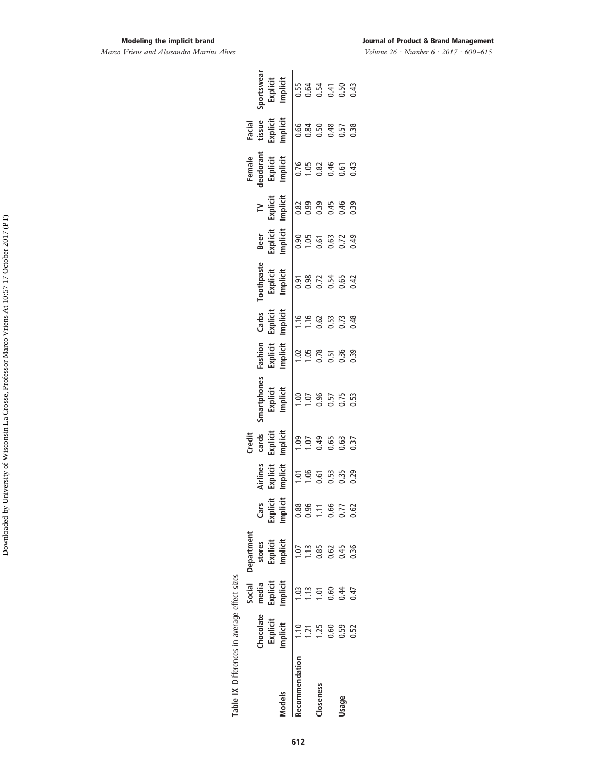#### **Journal of Product & Brand Management**

<span id="page-13-0"></span>

| Table IX Differences in average effect sizes |                 |          |             |                      |                  |                                                         |                                                                                                                                                                                                                                                                                           |                                                                        |                                    |                                                                                                                                                                                                                                                                                                                                                                                    |                                                                                                                                                                                                                                                                                                                                                  |        |                                                                                                                                                                                                                                                                                                   |                                                                                                                                                                                                                                                                                                                                                      |
|----------------------------------------------|-----------------|----------|-------------|----------------------|------------------|---------------------------------------------------------|-------------------------------------------------------------------------------------------------------------------------------------------------------------------------------------------------------------------------------------------------------------------------------------------|------------------------------------------------------------------------|------------------------------------|------------------------------------------------------------------------------------------------------------------------------------------------------------------------------------------------------------------------------------------------------------------------------------------------------------------------------------------------------------------------------------|--------------------------------------------------------------------------------------------------------------------------------------------------------------------------------------------------------------------------------------------------------------------------------------------------------------------------------------------------|--------|---------------------------------------------------------------------------------------------------------------------------------------------------------------------------------------------------------------------------------------------------------------------------------------------------|------------------------------------------------------------------------------------------------------------------------------------------------------------------------------------------------------------------------------------------------------------------------------------------------------------------------------------------------------|
|                                              |                 | Social   | Department  |                      |                  | Iredit                                                  |                                                                                                                                                                                                                                                                                           |                                                                        |                                    |                                                                                                                                                                                                                                                                                                                                                                                    |                                                                                                                                                                                                                                                                                                                                                  | Female |                                                                                                                                                                                                                                                                                                   |                                                                                                                                                                                                                                                                                                                                                      |
|                                              | <b>hocolate</b> | media    | stores      | Cars                 | Virlines         | cards                                                   | smartphones                                                                                                                                                                                                                                                                               | Fashion                                                                |                                    | Beer                                                                                                                                                                                                                                                                                                                                                                               | $\geq$                                                                                                                                                                                                                                                                                                                                           |        |                                                                                                                                                                                                                                                                                                   |                                                                                                                                                                                                                                                                                                                                                      |
|                                              | Explicit        | Explicit | Explicit    | Explicit<br>Implicit | Explicit         |                                                         |                                                                                                                                                                                                                                                                                           |                                                                        |                                    |                                                                                                                                                                                                                                                                                                                                                                                    |                                                                                                                                                                                                                                                                                                                                                  |        |                                                                                                                                                                                                                                                                                                   |                                                                                                                                                                                                                                                                                                                                                      |
| Models                                       | mplicit         | Implicit | Implicit    |                      | Implicit         | Explicit<br>Implicit<br>T 1.07<br>T .07<br>0.65<br>0.37 | Explicit<br>Implicit<br>T 1.00 96<br>C 3.5<br>C 3.5<br>C 3.5<br>C 3.5<br>C 3.5<br>C 3.5<br>C 3.5<br>C 3.5<br>C 3.5<br>C 3.5<br>C 3.5<br>C 3.5<br>C 3.5<br>C 3.6<br>C 3.6<br>C 3.6<br>C 3.6<br>C 3.6<br>C 3.6<br>C 3.6<br>C 3.6<br>C 3.6<br>C 3.6<br>C 3.6<br>C 3.6<br>C 3.6<br>C 3.6<br>C | Explicit<br>Implicit<br>1 .0.0<br>1 .0.5<br>0 .3.9<br>0 .3.9<br>0 .3.9 | Toothpaste<br>Explicit<br>Implicit | $\frac{1}{2}$<br>$\frac{1}{2}$<br>$\frac{1}{2}$<br>$\frac{1}{2}$<br>$\frac{1}{2}$<br>$\frac{1}{2}$<br>$\frac{1}{2}$<br>$\frac{1}{2}$<br>$\frac{1}{2}$<br>$\frac{1}{2}$<br>$\frac{1}{2}$<br>$\frac{1}{2}$<br>$\frac{1}{2}$<br>$\frac{1}{2}$<br>$\frac{1}{2}$<br>$\frac{1}{2}$<br>$\frac{1}{2}$<br>$\frac{1}{2}$<br>$\frac{1}{2}$<br>$\frac{1}{2}$<br>$\frac{1}{2}$<br>$\frac{1}{2}$ | $\frac{1}{2}$<br>$\frac{1}{2}$<br>$\frac{1}{2}$<br>$\frac{1}{2}$<br>$\frac{1}{2}$<br>$\frac{1}{2}$<br>$\frac{1}{2}$<br>$\frac{1}{2}$<br>$\frac{1}{2}$<br>$\frac{1}{2}$<br>$\frac{1}{2}$<br>$\frac{1}{2}$<br>$\frac{1}{2}$<br>$\frac{1}{2}$<br>$\frac{1}{2}$<br>$\frac{1}{2}$<br>$\frac{1}{2}$<br>$\frac{1}{2}$<br>$\frac{1}{2}$<br>$\frac{1}{2}$ |        | Facial<br>tissue<br>Explicit line<br>Implicit lines<br>$\frac{1}{6}$ of $\frac{3}{6}$ of $\frac{3}{6}$ of $\frac{3}{6}$ of $\frac{3}{6}$ of $\frac{3}{6}$ or $\frac{3}{6}$ or $\frac{3}{6}$ or $\frac{3}{6}$ or $\frac{3}{6}$ or $\frac{3}{6}$ or $\frac{3}{6}$ or $\frac{3}{6}$ or $\frac{3}{6}$ | $\frac{1}{2}$<br>$\frac{1}{2}$<br>$\frac{1}{2}$<br>$\frac{1}{2}$<br>$\frac{1}{2}$<br>$\frac{1}{2}$<br>$\frac{1}{2}$<br>$\frac{1}{2}$<br>$\frac{1}{2}$<br>$\frac{1}{2}$<br>$\frac{1}{2}$<br>$\frac{1}{2}$<br>$\frac{1}{2}$<br>$\frac{1}{2}$<br>$\frac{1}{2}$<br>$\frac{1}{2}$<br>$\frac{1}{2}$<br>$\frac{1}{2}$<br>$\frac{1}{2}$<br>$\frac{1}{2}$<br> |
| Recommendation                               |                 |          |             | $\frac{88}{2}$       | 1.06             |                                                         |                                                                                                                                                                                                                                                                                           |                                                                        |                                    |                                                                                                                                                                                                                                                                                                                                                                                    |                                                                                                                                                                                                                                                                                                                                                  |        |                                                                                                                                                                                                                                                                                                   |                                                                                                                                                                                                                                                                                                                                                      |
|                                              |                 |          |             | 96                   |                  |                                                         |                                                                                                                                                                                                                                                                                           |                                                                        |                                    |                                                                                                                                                                                                                                                                                                                                                                                    |                                                                                                                                                                                                                                                                                                                                                  |        |                                                                                                                                                                                                                                                                                                   |                                                                                                                                                                                                                                                                                                                                                      |
| :loseness                                    |                 |          | <b>1.85</b> |                      | ច.<br>ច.ឆ<br>១.ឆ |                                                         |                                                                                                                                                                                                                                                                                           |                                                                        | 5823693                            |                                                                                                                                                                                                                                                                                                                                                                                    |                                                                                                                                                                                                                                                                                                                                                  |        |                                                                                                                                                                                                                                                                                                   |                                                                                                                                                                                                                                                                                                                                                      |
|                                              | 8<br>0.60       | 99.      | 0.62        | 0.66                 |                  |                                                         |                                                                                                                                                                                                                                                                                           |                                                                        |                                    |                                                                                                                                                                                                                                                                                                                                                                                    |                                                                                                                                                                                                                                                                                                                                                  |        |                                                                                                                                                                                                                                                                                                   |                                                                                                                                                                                                                                                                                                                                                      |
| Jsage                                        | 0.59            | 1.44     | 0.45        | 77                   |                  |                                                         |                                                                                                                                                                                                                                                                                           |                                                                        |                                    |                                                                                                                                                                                                                                                                                                                                                                                    |                                                                                                                                                                                                                                                                                                                                                  |        |                                                                                                                                                                                                                                                                                                   |                                                                                                                                                                                                                                                                                                                                                      |
|                                              | 0.52            | 0.47     | 0.36        | 0.62                 | 0.29             |                                                         |                                                                                                                                                                                                                                                                                           |                                                                        |                                    |                                                                                                                                                                                                                                                                                                                                                                                    |                                                                                                                                                                                                                                                                                                                                                  |        |                                                                                                                                                                                                                                                                                                   |                                                                                                                                                                                                                                                                                                                                                      |
|                                              |                 |          |             |                      |                  |                                                         |                                                                                                                                                                                                                                                                                           |                                                                        |                                    |                                                                                                                                                                                                                                                                                                                                                                                    |                                                                                                                                                                                                                                                                                                                                                  |        |                                                                                                                                                                                                                                                                                                   |                                                                                                                                                                                                                                                                                                                                                      |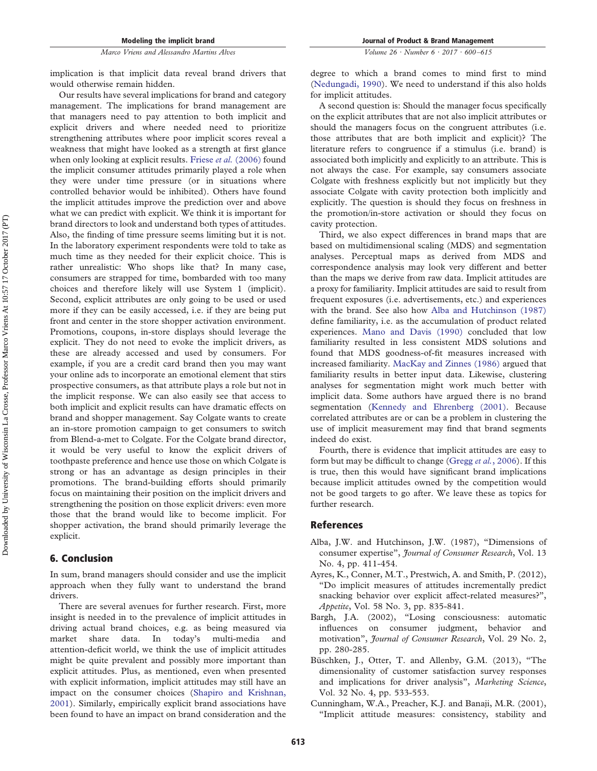Our results have several implications for brand and category management. The implications for brand management are that managers need to pay attention to both implicit and explicit drivers and where needed need to prioritize strengthening attributes where poor implicit scores reveal a weakness that might have looked as a strength at first glance when only looking at explicit results. Friese *et al.* [\(2006\)](#page-15-10) found the implicit consumer attitudes primarily played a role when they were under time pressure (or in situations where controlled behavior would be inhibited). Others have found the implicit attitudes improve the prediction over and above what we can predict with explicit. We think it is important for brand directors to look and understand both types of attitudes. Also, the finding of time pressure seems limiting but it is not. In the laboratory experiment respondents were told to take as much time as they needed for their explicit choice. This is rather unrealistic: Who shops like that? In many case, consumers are strapped for time, bombarded with too many choices and therefore likely will use System 1 (implicit). Second, explicit attributes are only going to be used or used more if they can be easily accessed, i.e. if they are being put front and center in the store shopper activation environment. Promotions, coupons, in-store displays should leverage the explicit. They do not need to evoke the implicit drivers, as these are already accessed and used by consumers. For example, if you are a credit card brand then you may want your online ads to incorporate an emotional element that stirs prospective consumers, as that attribute plays a role but not in the implicit response. We can also easily see that access to both implicit and explicit results can have dramatic effects on brand and shopper management. Say Colgate wants to create an in-store promotion campaign to get consumers to switch from Blend-a-met to Colgate. For the Colgate brand director, it would be very useful to know the explicit drivers of toothpaste preference and hence use those on which Colgate is strong or has an advantage as design principles in their promotions. The brand-building efforts should primarily focus on maintaining their position on the implicit drivers and strengthening the position on those explicit drivers: even more those that the brand would like to become implicit. For shopper activation, the brand should primarily leverage the explicit.

#### **6. Conclusion**

In sum, brand managers should consider and use the implicit approach when they fully want to understand the brand drivers.

There are several avenues for further research. First, more insight is needed in to the prevalence of implicit attitudes in driving actual brand choices, e.g. as being measured via market share data. In today's multi-media and attention-deficit world, we think the use of implicit attitudes might be quite prevalent and possibly more important than explicit attitudes. Plus, as mentioned, even when presented with explicit information, implicit attitudes may still have an impact on the consumer choices [\(Shapiro and Krishnan,](#page-16-9) [2001\)](#page-16-9). Similarly, empirically explicit brand associations have been found to have an impact on brand consideration and the *Volume 26 · Number 6 · 2017 · 600–615*

degree to which a brand comes to mind first to mind [\(Nedungadi, 1990\)](#page-15-27). We need to understand if this also holds for implicit attitudes.

A second question is: Should the manager focus specifically on the explicit attributes that are not also implicit attributes or should the managers focus on the congruent attributes (i.e. those attributes that are both implicit and explicit)? The literature refers to congruence if a stimulus (i.e. brand) is associated both implicitly and explicitly to an attribute. This is not always the case. For example, say consumers associate Colgate with freshness explicitly but not implicitly but they associate Colgate with cavity protection both implicitly and explicitly. The question is should they focus on freshness in the promotion/in-store activation or should they focus on cavity protection.

Third, we also expect differences in brand maps that are based on multidimensional scaling (MDS) and segmentation analyses. Perceptual maps as derived from MDS and correspondence analysis may look very different and better than the maps we derive from raw data. Implicit attitudes are a proxy for familiarity. Implicit attitudes are said to result from frequent exposures (i.e. advertisements, etc.) and experiences with the brand. See also how [Alba and Hutchinson \(1987\)](#page-14-4) define familiarity, i.e. as the accumulation of product related experiences. [Mano and Davis \(1990\)](#page-15-28) concluded that low familiarity resulted in less consistent MDS solutions and found that MDS goodness-of-fit measures increased with increased familiarity. [MacKay and Zinnes \(1986\)](#page-15-29) argued that familiarity results in better input data. Likewise, clustering analyses for segmentation might work much better with implicit data. Some authors have argued there is no brand segmentation [\(Kennedy and Ehrenberg \(2001\).](#page-15-30) Because correlated attributes are or can be a problem in clustering the use of implicit measurement may find that brand segments indeed do exist.

Fourth, there is evidence that implicit attitudes are easy to form but may be difficult to change (Gregg *et al.*[, 2006\)](#page-15-31). If this is true, then this would have significant brand implications because implicit attitudes owned by the competition would not be good targets to go after. We leave these as topics for further research.

#### **References**

- <span id="page-14-4"></span>Alba, J.W. and Hutchinson, J.W. (1987), "Dimensions of consumer expertise", *Journal of Consumer Research*, Vol. 13 No. 4, pp. 411-454.
- <span id="page-14-2"></span>Ayres, K., Conner, M.T., Prestwich, A. and Smith, P. (2012), "Do implicit measures of attitudes incrementally predict snacking behavior over explicit affect-related measures?", *Appetite*, Vol. 58 No. 3, pp. 835-841.
- <span id="page-14-0"></span>Bargh, J.A. (2002), "Losing consciousness: automatic influences on consumer judgment, behavior and motivation", *Journal of Consumer Research*, Vol. 29 No. 2, pp. 280-285.
- <span id="page-14-3"></span>Büschken, J., Otter, T. and Allenby, G.M. (2013), "The dimensionality of customer satisfaction survey responses and implications for driver analysis", *Marketing Science*, Vol. 32 No. 4, pp. 533-553.
- <span id="page-14-1"></span>Cunningham, W.A., Preacher, K.J. and Banaji, M.R. (2001), "Implicit attitude measures: consistency, stability and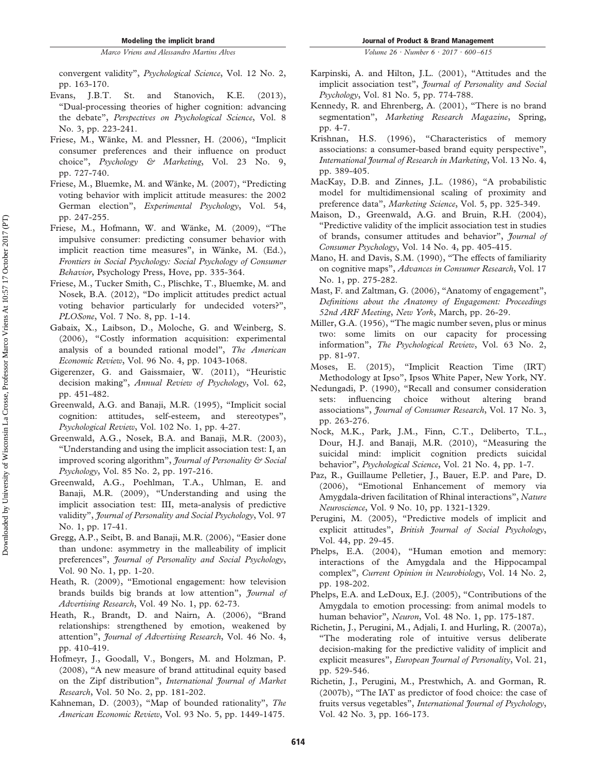convergent validity", *Psychological Science*, Vol. 12 No. 2, pp. 163-170.

- <span id="page-15-2"></span>Evans, J.B.T. St. and Stanovich, K.E. (2013), "Dual-processing theories of higher cognition: advancing the debate", *Perspectives on Psychological Science*, Vol. 8 No. 3, pp. 223-241.
- <span id="page-15-10"></span>Friese, M., Wänke, M. and Plessner, H. (2006), "Implicit consumer preferences and their influence on product choice", *Psychology & Marketing*, Vol. 23 No. 9, pp. 727-740.
- <span id="page-15-15"></span>Friese, M., Bluemke, M. and Wänke, M. (2007), "Predicting voting behavior with implicit attitude measures: the 2002 German election", *Experimental Psychology*, Vol. 54, pp. 247-255.
- <span id="page-15-13"></span>Friese, M., Hofmann, W. and Wänke, M. (2009), "The impulsive consumer: predicting consumer behavior with implicit reaction time measures", in Wänke, M. (Ed.), *Frontiers in Social Psychology: Social Psychology of Consumer Behavior*, Psychology Press, Hove, pp. 335-364.
- <span id="page-15-22"></span>Friese, M., Tucker Smith, C., Plischke, T., Bluemke, M. and Nosek, B.A. (2012), "Do implicit attitudes predict actual voting behavior particularly for undecided voters?", *PLOSone*, Vol. 7 No. 8, pp. 1-14.
- <span id="page-15-23"></span>Gabaix, X., Laibson, D., Moloche, G. and Weinberg, S. (2006), "Costly information acquisition: experimental analysis of a bounded rational model", *The American Economic Review*, Vol. 96 No. 4, pp. 1043-1068.
- <span id="page-15-0"></span>Gigerenzer, G. and Gaissmaier, W. (2011), "Heuristic decision making", *Annual Review of Psychology*, Vol. 62, pp. 451-482.
- <span id="page-15-8"></span>Greenwald, A.G. and Banaji, M.R. (1995), "Implicit social cognition: attitudes, self-esteem, and stereotypes", *Psychological Review*, Vol. 102 No. 1, pp. 4-27.
- <span id="page-15-12"></span>Greenwald, A.G., Nosek, B.A. and Banaji, M.R. (2003), "Understanding and using the implicit association test: I, an improved scoring algorithm", *Journal of Personality & Social Psychology*, Vol. 85 No. 2, pp. 197-216.
- <span id="page-15-14"></span>Greenwald, A.G., Poehlman, T.A., Uhlman, E. and Banaji, M.R. (2009), "Understanding and using the implicit association test: III, meta-analysis of predictive validity", *Journal of Personality and Social Psychology*, Vol. 97 No. 1, pp. 17-41.
- <span id="page-15-31"></span>Gregg, A.P., Seibt, B. and Banaji, M.R. (2006), "Easier done than undone: asymmetry in the malleability of implicit preferences", *Journal of Personality and Social Psychology*, Vol. 90 No. 1, pp. 1-20.
- <span id="page-15-5"></span>Heath, R. (2009), "Emotional engagement: how television brands builds big brands at low attention", *Journal of Advertising Research*, Vol. 49 No. 1, pp. 62-73.
- <span id="page-15-7"></span>Heath, R., Brandt, D. and Nairn, A. (2006), "Brand relationships: strengthened by emotion, weakened by attention", *Journal of Advertising Research*, Vol. 46 No. 4, pp. 410-419.
- <span id="page-15-26"></span>Hofmeyr, J., Goodall, V., Bongers, M. and Holzman, P. (2008), "A new measure of brand attitudinal equity based on the Zipf distribution", *International Journal of Market Research*, Vol. 50 No. 2, pp. 181-202.
- <span id="page-15-1"></span>Kahneman, D. (2003), "Map of bounded rationality", *The American Economic Review*, Vol. 93 No. 5, pp. 1449-1475.
- <span id="page-15-17"></span>Karpinski, A. and Hilton, J.L. (2001), "Attitudes and the
- implicit association test", *Journal of Personality and Social Psychology*, Vol. 81 No. 5, pp. 774-788.
- <span id="page-15-30"></span>Kennedy, R. and Ehrenberg, A. (2001), "There is no brand segmentation", *Marketing Research Magazine*, Spring, pp. 4-7.
- <span id="page-15-9"></span>Krishnan, H.S. (1996), "Characteristics of memory associations: a consumer-based brand equity perspective", *International Journal of Research in Marketing*, Vol. 13 No. 4, pp. 389-405.
- <span id="page-15-29"></span>MacKay, D.B. and Zinnes, J.L. (1986), "A probabilistic model for multidimensional scaling of proximity and preference data", *Marketing Science*, Vol. 5, pp. 325-349.
- <span id="page-15-18"></span>Maison, D., Greenwald, A.G. and Bruin, R.H. (2004), "Predictive validity of the implicit association test in studies of brands, consumer attitudes and behavior", *Journal of Consumer Psychology*, Vol. 14 No. 4, pp. 405-415.
- <span id="page-15-28"></span>Mano, H. and Davis, S.M. (1990), "The effects of familiarity on cognitive maps", *Advances in Consumer Research*, Vol. 17 No. 1, pp. 275-282.
- <span id="page-15-6"></span>Mast, F. and Zaltman, G. (2006), "Anatomy of engagement", *Definitions about the Anatomy of Engagement: Proceedings 52nd ARF Meeting*, *New York*, March, pp. 26-29.
- <span id="page-15-24"></span>Miller, G.A. (1956), "The magic number seven, plus or minus two: some limits on our capacity for processing information", *The Psychological Review*, Vol. 63 No. 2, pp. 81-97.
- <span id="page-15-11"></span>Moses, E. (2015), "Implicit Reaction Time (IRT) Methodology at Ipso", Ipsos White Paper, New York, NY.
- <span id="page-15-27"></span>Nedungadi, P. (1990), "Recall and consumer consideration sets: influencing choice without altering brand associations", *Journal of Consumer Research*, Vol. 17 No. 3, pp. 263-276.
- <span id="page-15-16"></span>Nock, M.K., Park, J.M., Finn, C.T., Deliberto, T.L., Dour, H.J. and Banaji, M.R. (2010), "Measuring the suicidal mind: implicit cognition predicts suicidal behavior", *Psychological Science*, Vol. 21 No. 4, pp. 1-7.
- <span id="page-15-25"></span>Paz, R., Guillaume Pelletier, J., Bauer, E.P. and Pare, D. (2006), "Emotional Enhancement of memory via Amygdala-driven facilitation of Rhinal interactions", *Nature Neuroscience*, Vol. 9 No. 10, pp. 1321-1329.
- <span id="page-15-19"></span>Perugini, M. (2005), "Predictive models of implicit and explicit attitudes", *British Journal of Social Psychology*, Vol. 44, pp. 29-45.
- <span id="page-15-3"></span>Phelps, E.A. (2004), "Human emotion and memory: interactions of the Amygdala and the Hippocampal complex", *Current Opinion in Neurobiology*, Vol. 14 No. 2, pp. 198-202.
- <span id="page-15-4"></span>Phelps, E.A. and LeDoux, E.J. (2005), "Contributions of the Amygdala to emotion processing: from animal models to human behavior", *Neuron*, Vol. 48 No. 1, pp. 175-187.
- <span id="page-15-20"></span>Richetin, J., Perugini, M., Adjali, I. and Hurling, R. (2007a), "The moderating role of intuitive versus deliberate decision-making for the predictive validity of implicit and explicit measures", *European Journal of Personality*, Vol. 21, pp. 529-546.
- <span id="page-15-21"></span>Richetin, J., Perugini, M., Prestwhich, A. and Gorman, R. (2007b), "The IAT as predictor of food choice: the case of fruits versus vegetables", *International Journal of Psychology*, Vol. 42 No. 3, pp. 166-173.